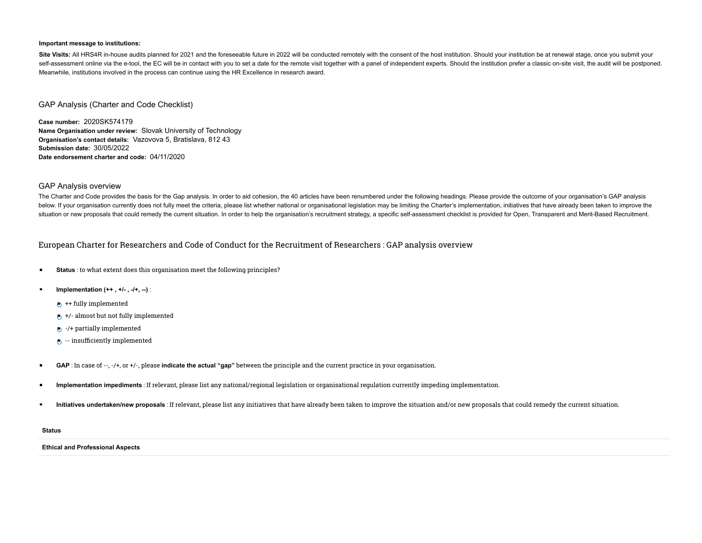#### **Important message to institutions:**

Site Visits: All HRS4R in-house audits planned for 2021 and the foreseeable future in 2022 will be conducted remotely with the consent of the host institution. Should your institution be at renewal stage, once you submit y self-assessment online via the e-tool, the EC will be in contact with you to set a date for the remote visit together with a panel of independent experts. Should the institution prefer a classic on-site visit, the audit wi Meanwhile, institutions involved in the process can continue using the HR Excellence in research award.

## GAP Analysis (Charter and Code Checklist)

**Case number:** 2020SK574179 **Name Organisation under review:** Slovak University of Technology **Organisation's contact details:** Vazovova 5, Bratislava, 812 43 **Submission date:** 30/05/2022 **Date endorsement charter and code:** 04/11/2020

### GAP Analysis overview

The Charter and Code provides the basis for the Gap analysis. In order to aid cohesion, the 40 articles have been renumbered under the following headings. Please provide the outcome of your organisation's GAP analysis below. If your organisation currently does not fully meet the criteria, please list whether national or organisational legislation may be limiting the Charter's implementation, initiatives that have already been taken to i situation or new proposals that could remedy the current situation. In order to help the organisation's recruitment strategy, a specific self-assessment checklist is provided for Open, Transparent and Merit-Based Recruitme

## European Charter for Researchers and Code of Conduct for the Recruitment of Researchers : GAP analysis overview

- **Status** : to what extent does this organisation meet the following principles?  $\blacksquare$
- **Implementation (++ , +/- , -/+, --)** :
	- $\leftrightarrow$  ++ fully implemented
	- $\leftrightarrow$  +/- almost but not fully implemented
	- $\triangleright$  -/+ partially implemented
	- $\bullet$  -- insufficiently implemented
- **GAP** : In case of --, -/+, or +/-, please **indicate the actual "gap"** between the principle and the current practice in your organisation.  $\blacksquare$
- $\blacksquare$ **Implementation impediments** : If relevant, please list any national/regional legislation or organisational regulation currently impeding implementation.
- $\blacksquare$ **Initiatives undertaken/new proposals** : If relevant, please list any initiatives that have already been taken to improve the situation and/or new proposals that could remedy the current situation.

#### **Status**

#### **Ethical and Professional Aspects**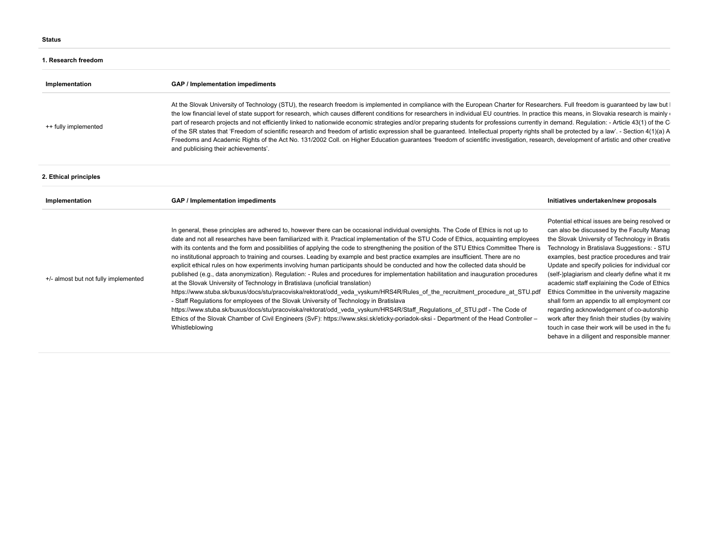### **1. Research freedom**

| Implementation                       | GAP / Implementation impediments                                                                                                                                                                                                                                                                                                                                                                                                                                                                                                                                                                                                                                                                                                                                                                                                                                                                                                                                                                                                                                                                                                                                                                                                                                                                                                                                                                                                       |                                                                                                                                                                                                                                                                                                                                                                                                                                                                                                                                                                                                                                                                                                      |  |  |
|--------------------------------------|----------------------------------------------------------------------------------------------------------------------------------------------------------------------------------------------------------------------------------------------------------------------------------------------------------------------------------------------------------------------------------------------------------------------------------------------------------------------------------------------------------------------------------------------------------------------------------------------------------------------------------------------------------------------------------------------------------------------------------------------------------------------------------------------------------------------------------------------------------------------------------------------------------------------------------------------------------------------------------------------------------------------------------------------------------------------------------------------------------------------------------------------------------------------------------------------------------------------------------------------------------------------------------------------------------------------------------------------------------------------------------------------------------------------------------------|------------------------------------------------------------------------------------------------------------------------------------------------------------------------------------------------------------------------------------------------------------------------------------------------------------------------------------------------------------------------------------------------------------------------------------------------------------------------------------------------------------------------------------------------------------------------------------------------------------------------------------------------------------------------------------------------------|--|--|
| ++ fully implemented                 | At the Slovak University of Technology (STU), the research freedom is implemented in compliance with the European Charter for Researchers. Full freedom is guaranteed by law but I<br>the low financial level of state support for research, which causes different conditions for researchers in individual EU countries. In practice this means, in Slovakia research is mainly of<br>part of research projects and not efficiently linked to nationwide economic strategies and/or preparing students for professions currently in demand. Regulation: - Article 43(1) of the C<br>of the SR states that 'Freedom of scientific research and freedom of artistic expression shall be guaranteed. Intellectual property rights shall be protected by a law'. - Section 4(1)(a) A<br>Freedoms and Academic Rights of the Act No. 131/2002 Coll. on Higher Education guarantees 'freedom of scientific investigation, research, development of artistic and other creative<br>and publicising their achievements'.                                                                                                                                                                                                                                                                                                                                                                                                                     |                                                                                                                                                                                                                                                                                                                                                                                                                                                                                                                                                                                                                                                                                                      |  |  |
| 2. Ethical principles                |                                                                                                                                                                                                                                                                                                                                                                                                                                                                                                                                                                                                                                                                                                                                                                                                                                                                                                                                                                                                                                                                                                                                                                                                                                                                                                                                                                                                                                        |                                                                                                                                                                                                                                                                                                                                                                                                                                                                                                                                                                                                                                                                                                      |  |  |
| Implementation                       | GAP / Implementation impediments                                                                                                                                                                                                                                                                                                                                                                                                                                                                                                                                                                                                                                                                                                                                                                                                                                                                                                                                                                                                                                                                                                                                                                                                                                                                                                                                                                                                       | Initiatives undertaken/new proposals                                                                                                                                                                                                                                                                                                                                                                                                                                                                                                                                                                                                                                                                 |  |  |
| +/- almost but not fully implemented | In general, these principles are adhered to, however there can be occasional individual oversights. The Code of Ethics is not up to<br>date and not all researches have been familiarized with it. Practical implementation of the STU Code of Ethics, acquainting employees<br>with its contents and the form and possibilities of applying the code to strengthening the position of the STU Ethics Committee There is<br>no institutional approach to training and courses. Leading by example and best practice examples are insufficient. There are no<br>explicit ethical rules on how experiments involving human participants should be conducted and how the collected data should be<br>published (e.g., data anonymization). Regulation: - Rules and procedures for implementation habilitation and inauguration procedures<br>at the Slovak University of Technology in Bratislava (unoficial translation)<br>https://www.stuba.sk/buxus/docs/stu/pracoviska/rektorat/odd veda vyskum/HRS4R/Rules of the recruitment procedure at STU.pdf<br>- Staff Regulations for employees of the Slovak University of Technology in Bratislava<br>https://www.stuba.sk/buxus/docs/stu/pracoviska/rektorat/odd veda vyskum/HRS4R/Staff Regulations of STU.pdf - The Code of<br>Ethics of the Slovak Chamber of Civil Engineers (SvF): https://www.sksi.sk/eticky-poriadok-sksi - Department of the Head Controller -<br>Whistleblowing | Potential ethical issues are being resolved or<br>can also be discussed by the Faculty Manag<br>the Slovak University of Technology in Bratis<br>Technology in Bratislava Suggestions: - STU<br>examples, best practice procedures and trair<br>Update and specify policies for individual cor<br>(self-)plagiarism and clearly define what it me<br>academic staff explaining the Code of Ethics<br>Ethics Committee in the university magazine<br>shall form an appendix to all employment cor<br>regarding acknowledgement of co-autorship<br>work after they finish their studies (by waiving<br>touch in case their work will be used in the fu<br>behave in a diligent and responsible manner. |  |  |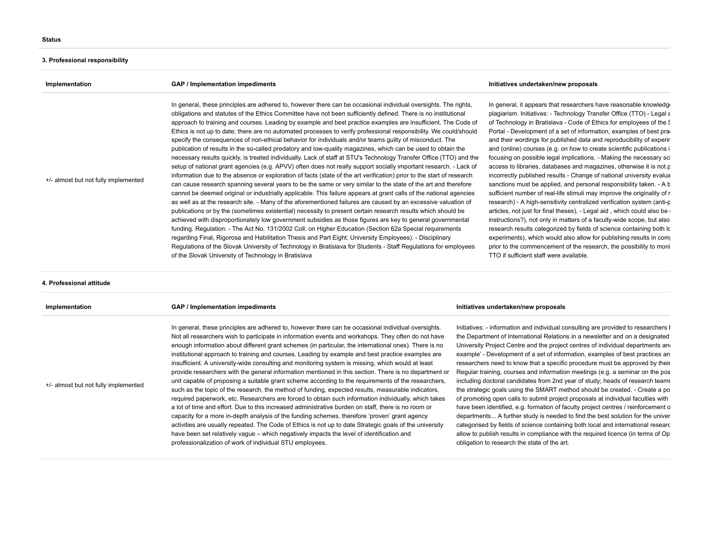# **3. Professional responsibility**

| Implementation                       | GAP / Implementation impediments                                                                                                                                                                                                                                                                                                                                                                                                                                                                                                                                                                                                                                                                                                                                                                                                                                                                                                                                                                                                                                                                                                                                                                                                                                                                                                                                                                                                                                                                                                                                                                                                                                                                                                                                                                                                                                                                                                                                                                                                                                 | Initiatives undertaken/new proposals                                                                                                                                                                                                                                                                                                                                                                                                                                                                                                                                                                                                                                                                                                                                                                                                                                                                                                                                                                                                                                                                                                                                                                                                                                                                                      |
|--------------------------------------|------------------------------------------------------------------------------------------------------------------------------------------------------------------------------------------------------------------------------------------------------------------------------------------------------------------------------------------------------------------------------------------------------------------------------------------------------------------------------------------------------------------------------------------------------------------------------------------------------------------------------------------------------------------------------------------------------------------------------------------------------------------------------------------------------------------------------------------------------------------------------------------------------------------------------------------------------------------------------------------------------------------------------------------------------------------------------------------------------------------------------------------------------------------------------------------------------------------------------------------------------------------------------------------------------------------------------------------------------------------------------------------------------------------------------------------------------------------------------------------------------------------------------------------------------------------------------------------------------------------------------------------------------------------------------------------------------------------------------------------------------------------------------------------------------------------------------------------------------------------------------------------------------------------------------------------------------------------------------------------------------------------------------------------------------------------|---------------------------------------------------------------------------------------------------------------------------------------------------------------------------------------------------------------------------------------------------------------------------------------------------------------------------------------------------------------------------------------------------------------------------------------------------------------------------------------------------------------------------------------------------------------------------------------------------------------------------------------------------------------------------------------------------------------------------------------------------------------------------------------------------------------------------------------------------------------------------------------------------------------------------------------------------------------------------------------------------------------------------------------------------------------------------------------------------------------------------------------------------------------------------------------------------------------------------------------------------------------------------------------------------------------------------|
| +/- almost but not fully implemented | In general, these principles are adhered to, however there can be occasional individual oversights. The rights,<br>obligations and statutes of the Ethics Committee have not been sufficiently defined. There is no institutional<br>approach to training and courses. Leading by example and best practice examples are insufficient. The Code of<br>Ethics is not up to date; there are no automated processes to verify professional responsibility. We could/should<br>specify the consequences of non-ethical behavior for individuals and/or teams guilty of misconduct. The<br>publication of results in the so-called predatory and low-quality magazines, which can be used to obtain the<br>necessary results quickly, is treated individually. Lack of staff at STU's Technology Transfer Office (TTO) and the<br>setup of national grant agencies (e.g. APVV) often does not really support socially important research. - Lack of<br>information due to the absence or exploration of facts (state of the art verification) prior to the start of research<br>can cause research spanning several years to be the same or very similar to the state of the art and therefore<br>cannot be deemed original or industrially applicable. This failure appears at grant calls of the national agencies<br>as well as at the research site. - Many of the aforementioned failures are caused by an excessive valuation of<br>publications or by the (sometimes existential) necessity to present certain research results which should be<br>achieved with disproportionately low government subsidies as those figures are key to general governmental<br>funding. Regulation: - The Act No. 131/2002 Coll. on Higher Education (Section 62a Special requirements<br>regarding Final, Rigorosa and Habilitation Thesis and Part Eight: University Employees). - Disciplinary<br>Regulations of the Slovak University of Technology in Bratislava for Students - Staff Regulations for employees<br>of the Slovak University of Technology in Bratislava | In general, it appears that researchers have reasonable knowledge<br>plagiarism. Initiatives: - Technology Transfer Office (TTO) - Legal a<br>of Technology in Bratislava - Code of Ethics for employees of the S<br>Portal - Development of a set of information, examples of best practional<br>and their wordings for published data and reproducibility of experir<br>and (online) courses (e.g. on how to create scientific publications i<br>focusing on possible legal implications. - Making the necessary sci<br>access to libraries, databases and magazines, otherwise it is not p<br>incorrectly published results - Change of national university evalua<br>sanctions must be applied, and personal responsibility taken. - A b<br>sufficient number of real-life stimuli may improve the originality of r<br>research) - A high-sensitivity centralized verification system (anti-p<br>articles, not just for final theses), - Legal aid, which could also be<br>instructions?), not only in matters of a faculty-wide scope, but also<br>research results categorized by fields of science containing both Ic<br>experiments), which would also allow for publishing results in comparent<br>prior to the commencement of the research, the possibility to moni<br>TTO if sufficient staff were available. |
| 4. Professional attitude             |                                                                                                                                                                                                                                                                                                                                                                                                                                                                                                                                                                                                                                                                                                                                                                                                                                                                                                                                                                                                                                                                                                                                                                                                                                                                                                                                                                                                                                                                                                                                                                                                                                                                                                                                                                                                                                                                                                                                                                                                                                                                  |                                                                                                                                                                                                                                                                                                                                                                                                                                                                                                                                                                                                                                                                                                                                                                                                                                                                                                                                                                                                                                                                                                                                                                                                                                                                                                                           |

| Implementation                       | GAP / Implementation impediments                                                                                                                                                                                                                                                                                                                                                                                                                                                                                                                                                                                                                                                                                                                                                                                                                                                                                                                                                                                                                                                                                                                                                                                                                                                                                                                                                                                                        | Initiatives undertaken/new proposals                                                                                                                                                                                                                                                                                                                                                                                                                                                                                                                                                                                                                                                                                                                                                                                                                                                                                                                                                                                                                                                                                                                        |
|--------------------------------------|-----------------------------------------------------------------------------------------------------------------------------------------------------------------------------------------------------------------------------------------------------------------------------------------------------------------------------------------------------------------------------------------------------------------------------------------------------------------------------------------------------------------------------------------------------------------------------------------------------------------------------------------------------------------------------------------------------------------------------------------------------------------------------------------------------------------------------------------------------------------------------------------------------------------------------------------------------------------------------------------------------------------------------------------------------------------------------------------------------------------------------------------------------------------------------------------------------------------------------------------------------------------------------------------------------------------------------------------------------------------------------------------------------------------------------------------|-------------------------------------------------------------------------------------------------------------------------------------------------------------------------------------------------------------------------------------------------------------------------------------------------------------------------------------------------------------------------------------------------------------------------------------------------------------------------------------------------------------------------------------------------------------------------------------------------------------------------------------------------------------------------------------------------------------------------------------------------------------------------------------------------------------------------------------------------------------------------------------------------------------------------------------------------------------------------------------------------------------------------------------------------------------------------------------------------------------------------------------------------------------|
| +/- almost but not fully implemented | In general, these principles are adhered to, however there can be occasional individual oversights.<br>Not all researchers wish to participate in information events and workshops. They often do not have<br>enough information about different grant schemes (in particular, the international ones). There is no<br>institutional approach to training and courses. Leading by example and best practice examples are<br>insufficient. A university-wide consulting and monitoring system is missing, which would at least<br>provide researchers with the general information mentioned in this section. There is no department or<br>unit capable of proposing a suitable grant scheme according to the requirements of the researchers,<br>such as the topic of the research, the method of funding, expected results, measurable indicators,<br>required paperwork, etc. Researchers are forced to obtain such information individually, which takes<br>a lot of time and effort. Due to this increased administrative burden on staff, there is no room or<br>capacity for a more in-depth analysis of the funding schemes, therefore 'proven' grant agency<br>activities are usually repeated. The Code of Ethics is not up to date Strategic goals of the university<br>have been set relatively vague – which negatively impacts the level of identification and<br>professionalization of work of individual STU employees. | Initiatives: - information and individual consulting are provided to researchers I<br>the Department of International Relations in a newsletter and on a designated<br>University Project Centre and the project centres of individual departments and<br>example' - Development of a set of information, examples of best practices an<br>researchers need to know that a specific procedure must be approved by their<br>Regular training, courses and information meetings (e.g. a seminar on the pos<br>including doctoral candidates from 2nd year of study; heads of research teams<br>the strategic goals using the SMART method should be created. - Create a po<br>of promoting open calls to submit project proposals at individual faculties with<br>have been identified, e.g. formation of faculty project centres / reinforcement o<br>departments A further study is needed to find the best solution for the univer<br>categorised by fields of science containing both local and international researc<br>allow to publish results in compliance with the required licence (in terms of Op<br>obligation to research the state of the art. |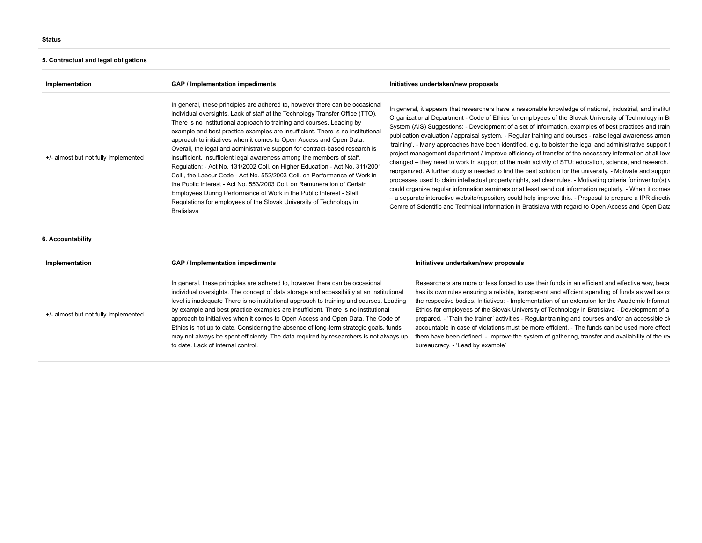# **5. Contractual and legal obligations**

| Implementation                                                                                                                                                                                                                                                                                                                                                                                                                                                                                                                                                                                                                                                                                                                                                                                                                                                                                                                                                                                               | <b>GAP / Implementation impediments</b>                                                                                                                                                                                                                                                                                                                                                                                                                                                                                                                                                                                                                              | Initiatives undertaken/new proposals                                                                                                                                                                                                                                                                                                                                                                                                                                                                                                                                                                                                                                                                                                                                                                                                                                                                                                                                                                                                                                                                                                                                                                                                                                                                                                     |  |
|--------------------------------------------------------------------------------------------------------------------------------------------------------------------------------------------------------------------------------------------------------------------------------------------------------------------------------------------------------------------------------------------------------------------------------------------------------------------------------------------------------------------------------------------------------------------------------------------------------------------------------------------------------------------------------------------------------------------------------------------------------------------------------------------------------------------------------------------------------------------------------------------------------------------------------------------------------------------------------------------------------------|----------------------------------------------------------------------------------------------------------------------------------------------------------------------------------------------------------------------------------------------------------------------------------------------------------------------------------------------------------------------------------------------------------------------------------------------------------------------------------------------------------------------------------------------------------------------------------------------------------------------------------------------------------------------|------------------------------------------------------------------------------------------------------------------------------------------------------------------------------------------------------------------------------------------------------------------------------------------------------------------------------------------------------------------------------------------------------------------------------------------------------------------------------------------------------------------------------------------------------------------------------------------------------------------------------------------------------------------------------------------------------------------------------------------------------------------------------------------------------------------------------------------------------------------------------------------------------------------------------------------------------------------------------------------------------------------------------------------------------------------------------------------------------------------------------------------------------------------------------------------------------------------------------------------------------------------------------------------------------------------------------------------|--|
| In general, these principles are adhered to, however there can be occasional<br>individual oversights. Lack of staff at the Technology Transfer Office (TTO).<br>There is no institutional approach to training and courses. Leading by<br>example and best practice examples are insufficient. There is no institutional<br>approach to initiatives when it comes to Open Access and Open Data.<br>Overall, the legal and administrative support for contract-based research is<br>+/- almost but not fully implemented<br>insufficient. Insufficient legal awareness among the members of staff.<br>Regulation: - Act No. 131/2002 Coll. on Higher Education - Act No. 311/2001<br>Coll., the Labour Code - Act No. 552/2003 Coll. on Performance of Work in<br>the Public Interest - Act No. 553/2003 Coll. on Remuneration of Certain<br>Employees During Performance of Work in the Public Interest - Staff<br>Regulations for employees of the Slovak University of Technology in<br><b>Bratislava</b> |                                                                                                                                                                                                                                                                                                                                                                                                                                                                                                                                                                                                                                                                      | In general, it appears that researchers have a reasonable knowledge of national, industrial, and institut<br>Organizational Department - Code of Ethics for employees of the Slovak University of Technology in Br<br>System (AIS) Suggestions: - Development of a set of information, examples of best practices and train<br>publication evaluation / appraisal system. - Regular training and courses - raise legal awareness amon<br>'training'. - Many approaches have been identified, e.g. to bolster the legal and administrative support f<br>project management department / Improve efficiency of transfer of the necessary information at all leve<br>changed – they need to work in support of the main activity of STU: education, science, and research.<br>reorganized. A further study is needed to find the best solution for the university. - Motivate and suppor<br>processes used to claim intellectual property rights, set clear rules. - Motivating criteria for inventor(s) v<br>could organize regular information seminars or at least send out information regularly. - When it comes<br>- a separate interactive website/repository could help improve this. - Proposal to prepare a IPR directiv<br>Centre of Scientific and Technical Information in Bratislava with regard to Open Access and Open Data |  |
| 6. Accountability                                                                                                                                                                                                                                                                                                                                                                                                                                                                                                                                                                                                                                                                                                                                                                                                                                                                                                                                                                                            |                                                                                                                                                                                                                                                                                                                                                                                                                                                                                                                                                                                                                                                                      |                                                                                                                                                                                                                                                                                                                                                                                                                                                                                                                                                                                                                                                                                                                                                                                                                                                                                                                                                                                                                                                                                                                                                                                                                                                                                                                                          |  |
| Implementation                                                                                                                                                                                                                                                                                                                                                                                                                                                                                                                                                                                                                                                                                                                                                                                                                                                                                                                                                                                               | <b>GAP / Implementation impediments</b>                                                                                                                                                                                                                                                                                                                                                                                                                                                                                                                                                                                                                              | Initiatives undertaken/new proposals                                                                                                                                                                                                                                                                                                                                                                                                                                                                                                                                                                                                                                                                                                                                                                                                                                                                                                                                                                                                                                                                                                                                                                                                                                                                                                     |  |
| +/- almost but not fully implemented                                                                                                                                                                                                                                                                                                                                                                                                                                                                                                                                                                                                                                                                                                                                                                                                                                                                                                                                                                         | In general, these principles are adhered to, however there can be occasional<br>individual oversights. The concept of data storage and accessibility at an institutional<br>level is inadequate There is no institutional approach to training and courses. Leading<br>by example and best practice examples are insufficient. There is no institutional<br>approach to initiatives when it comes to Open Access and Open Data. The Code of<br>Ethics is not up to date. Considering the absence of long-term strategic goals, funds<br>may not always be spent efficiently. The data required by researchers is not always up<br>to date. Lack of internal control. | Researchers are more or less forced to use their funds in an efficient and effective way, becall<br>has its own rules ensuring a reliable, transparent and efficient spending of funds as well as co<br>the respective bodies. Initiatives: - Implementation of an extension for the Academic Informati<br>Ethics for employees of the Slovak University of Technology in Bratislava - Development of a<br>prepared. - 'Train the trainer' activities - Regular training and courses and/or an accessible ck<br>accountable in case of violations must be more efficient. - The funds can be used more effect<br>them have been defined. - Improve the system of gathering, transfer and availability of the red<br>bureaucracy. - 'Lead by example'                                                                                                                                                                                                                                                                                                                                                                                                                                                                                                                                                                                     |  |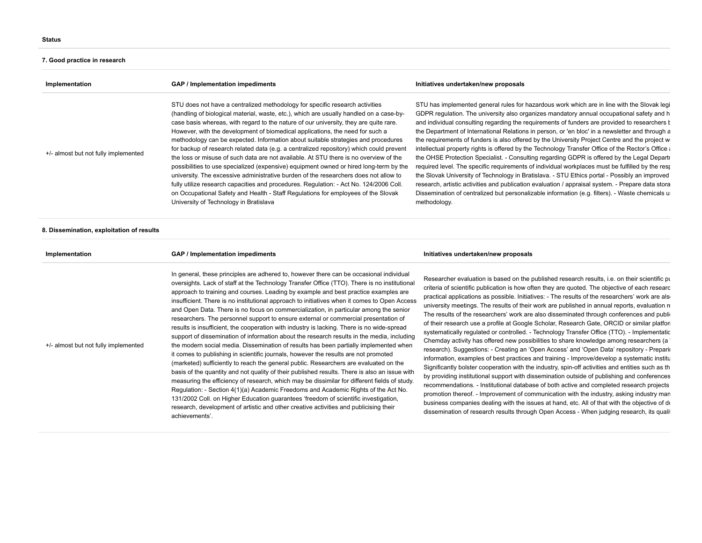#### **7. Good practice in research**

+/- almost but not fully implemented

| Implementation                            | GAP / Implementation impediments                                                                                                                                                                                                                                                                                                                                                                                                                                                                                                                                                                                                                                                                                                                                                                                                                                                                                                                                                                                                      | Initiatives undertaken/new proposals                                                                                                                                                                                                                                                                                                                                                                                                                                                                                                                                                                                                                                                                                                                                                                                                                                                                                                                                                                                                                                                                                             |
|-------------------------------------------|---------------------------------------------------------------------------------------------------------------------------------------------------------------------------------------------------------------------------------------------------------------------------------------------------------------------------------------------------------------------------------------------------------------------------------------------------------------------------------------------------------------------------------------------------------------------------------------------------------------------------------------------------------------------------------------------------------------------------------------------------------------------------------------------------------------------------------------------------------------------------------------------------------------------------------------------------------------------------------------------------------------------------------------|----------------------------------------------------------------------------------------------------------------------------------------------------------------------------------------------------------------------------------------------------------------------------------------------------------------------------------------------------------------------------------------------------------------------------------------------------------------------------------------------------------------------------------------------------------------------------------------------------------------------------------------------------------------------------------------------------------------------------------------------------------------------------------------------------------------------------------------------------------------------------------------------------------------------------------------------------------------------------------------------------------------------------------------------------------------------------------------------------------------------------------|
| +/- almost but not fully implemented      | STU does not have a centralized methodology for specific research activities<br>(handling of biological material, waste, etc.), which are usually handled on a case-by-<br>case basis whereas, with regard to the nature of our university, they are quite rare.<br>However, with the development of biomedical applications, the need for such a<br>methodology can be expected. Information about suitable strategies and procedures<br>for backup of research related data (e.g. a centralized repository) which could prevent<br>the loss or misuse of such data are not available. At STU there is no overview of the<br>possibilities to use specialized (expensive) equipment owned or hired long-term by the<br>university. The excessive administrative burden of the researchers does not allow to<br>fully utilize research capacities and procedures. Regulation: - Act No. 124/2006 Coll.<br>on Occupational Safety and Health - Staff Regulations for employees of the Slovak<br>University of Technology in Bratislava | STU has implemented general rules for hazardous work which are in line with the Slovak legi<br>GDPR regulation. The university also organizes mandatory annual occupational safety and h<br>and individual consulting regarding the requirements of funders are provided to researchers t<br>the Department of International Relations in person, or 'en bloc' in a newsletter and through a<br>the requirements of funders is also offered by the University Project Centre and the project w<br>intellectual property rights is offered by the Technology Transfer Office of the Rector's Office a<br>the OHSE Protection Specialist. - Consulting regarding GDPR is offered by the Legal Departr<br>required level. The specific requirements of individual workplaces must be fulfilled by the resp<br>the Slovak University of Technology in Bratislava. - STU Ethics portal - Possibly an improved<br>research, artistic activities and publication evaluation / appraisal system. - Prepare data stora<br>Dissemination of centralized but personalizable information (e.g. filters). - Waste chemicals u<br>methodology. |
| 8. Dissemination, exploitation of results |                                                                                                                                                                                                                                                                                                                                                                                                                                                                                                                                                                                                                                                                                                                                                                                                                                                                                                                                                                                                                                       |                                                                                                                                                                                                                                                                                                                                                                                                                                                                                                                                                                                                                                                                                                                                                                                                                                                                                                                                                                                                                                                                                                                                  |
| Implementation                            | GAP / Implementation impediments                                                                                                                                                                                                                                                                                                                                                                                                                                                                                                                                                                                                                                                                                                                                                                                                                                                                                                                                                                                                      | Initiatives undertaken/new proposals                                                                                                                                                                                                                                                                                                                                                                                                                                                                                                                                                                                                                                                                                                                                                                                                                                                                                                                                                                                                                                                                                             |
|                                           | In general, these principles are adhered to, however there can be occasional individual                                                                                                                                                                                                                                                                                                                                                                                                                                                                                                                                                                                                                                                                                                                                                                                                                                                                                                                                               | .                                                                                                                                                                                                                                                                                                                                                                                                                                                                                                                                                                                                                                                                                                                                                                                                                                                                                                                                                                                                                                                                                                                                |

oversights. Lack of staff at the Technology Transfer Office (TTO). There is no institutional approach to training and courses. Leading by example and best practice examples are insufficient. There is no institutional approach to initiatives when it comes to Open Access and Open Data. There is no focus on commercialization, in particular among the senior researchers. The personnel support to ensure external or commercial presentation of results is insufficient, the cooperation with industry is lacking. There is no wide-spread support of dissemination of information about the research results in the media, including the modern social media. Dissemination of results has been partially implemented when it comes to publishing in scientific journals, however the results are not promoted (marketed) sufficiently to reach the general public. Researchers are evaluated on the basis of the quantity and not quality of their published results. There is also an issue with measuring the efficiency of research, which may be dissimilar for different fields of study. Regulation: - Section 4(1)(a) Academic Freedoms and Academic Rights of the Act No. 131/2002 Coll. on Higher Education guarantees 'freedom of scientific investigation, research, development of artistic and other creative activities and publicising their achievements'.

## Researcher evaluation is based on the published research results, i.e. on their scientific pu criteria of scientific publication is how often they are quoted. The objective of each researc practical applications as possible. Initiatives: - The results of the researchers' work are also university meetings. The results of their work are published in annual reports, evaluation re The results of the researchers' work are also disseminated through conferences and public of their research use a profile at Google Scholar, Research Gate, ORCID or similar platform systematically regulated or controlled. - Technology Transfer Office (TTO). - Implementatio Chemday activity has offered new possibilities to share knowledge among researchers (a ' research). Suggestions: - Creating an 'Open Access' and 'Open Data' repository - Preparin information, examples of best practices and training - Improve/develop a systematic institu Significantly bolster cooperation with the industry, spin-off activities and entities such as th by providing institutional support with dissemination outside of publishing and conferences recommendations. - Institutional database of both active and completed research projects promotion thereof. - Improvement of communication with the industry, asking industry man business companies dealing with the issues at hand, etc. All of that with the objective of do dissemination of research results through Open Access - When judging research, its qualit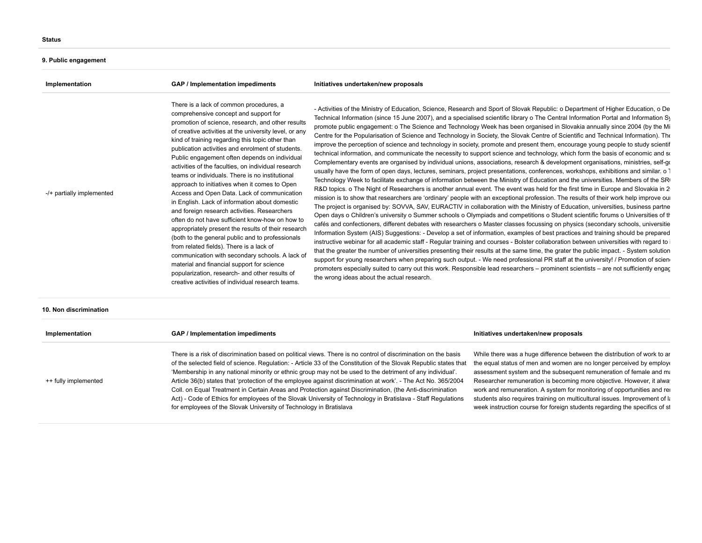# **9. Public engagement**

| Implementation            | GAP / Implementation impediments                                                                                                                                                                                                                                                                                                                                                                                                                                                                                                                                                                                                                                                                                                                                                                                                                                                                                                                                                                                                                                                        | Initiatives undertaken/new proposals                                                                                                                                                                                                                                                                                                                                                                                                                                                                                                                                                                                                                                                                                                                                                                                                                                                                                                                                                                                                                                                                                                                                                                                                                                                                                                                                                                                                                                                                                                                                                                                                                                                                                                                                                                                                                                                                                                                                                                                                                                                                                                                                                                                                                                                                                                                                                                                                                                                                                                                                                                                                                                                |
|---------------------------|-----------------------------------------------------------------------------------------------------------------------------------------------------------------------------------------------------------------------------------------------------------------------------------------------------------------------------------------------------------------------------------------------------------------------------------------------------------------------------------------------------------------------------------------------------------------------------------------------------------------------------------------------------------------------------------------------------------------------------------------------------------------------------------------------------------------------------------------------------------------------------------------------------------------------------------------------------------------------------------------------------------------------------------------------------------------------------------------|-------------------------------------------------------------------------------------------------------------------------------------------------------------------------------------------------------------------------------------------------------------------------------------------------------------------------------------------------------------------------------------------------------------------------------------------------------------------------------------------------------------------------------------------------------------------------------------------------------------------------------------------------------------------------------------------------------------------------------------------------------------------------------------------------------------------------------------------------------------------------------------------------------------------------------------------------------------------------------------------------------------------------------------------------------------------------------------------------------------------------------------------------------------------------------------------------------------------------------------------------------------------------------------------------------------------------------------------------------------------------------------------------------------------------------------------------------------------------------------------------------------------------------------------------------------------------------------------------------------------------------------------------------------------------------------------------------------------------------------------------------------------------------------------------------------------------------------------------------------------------------------------------------------------------------------------------------------------------------------------------------------------------------------------------------------------------------------------------------------------------------------------------------------------------------------------------------------------------------------------------------------------------------------------------------------------------------------------------------------------------------------------------------------------------------------------------------------------------------------------------------------------------------------------------------------------------------------------------------------------------------------------------------------------------------------|
| -/+ partially implemented | There is a lack of common procedures, a<br>comprehensive concept and support for<br>promotion of science, research, and other results<br>of creative activities at the university level, or any<br>kind of training regarding this topic other than<br>publication activities and enrolment of students.<br>Public engagement often depends on individual<br>activities of the faculties, on individual research<br>teams or individuals. There is no institutional<br>approach to initiatives when it comes to Open<br>Access and Open Data. Lack of communication<br>in English. Lack of information about domestic<br>and foreign research activities. Researchers<br>often do not have sufficient know-how on how to<br>appropriately present the results of their research<br>(both to the general public and to professionals<br>from related fields). There is a lack of<br>communication with secondary schools. A lack of<br>material and financial support for science<br>popularization, research- and other results of<br>creative activities of individual research teams. | - Activities of the Ministry of Education, Science, Research and Sport of Slovak Republic: o Department of Higher Education, o De<br>Technical Information (since 15 June 2007), and a specialised scientific library o The Central Information Portal and Information Sy<br>promote public engagement: o The Science and Technology Week has been organised in Slovakia annually since 2004 (by the Mi<br>Centre for the Popularisation of Science and Technology in Society, the Slovak Centre of Scientific and Technical Information). The<br>improve the perception of science and technology in society, promote and present them, encourage young people to study scientif<br>technical information, and communicate the necessity to support science and technology, which form the basis of economic and so<br>Complementary events are organised by individual unions, associations, research & development organisations, ministries, self-go<br>usually have the form of open days, lectures, seminars, project presentations, conferences, workshops, exhibitions and similar. o 1<br>Technology Week to facilitate exchange of information between the Ministry of Education and the universities. Members of the SRI<br>R&D topics. o The Night of Researchers is another annual event. The event was held for the first time in Europe and Slovakia in 2<br>mission is to show that researchers are 'ordinary' people with an exceptional profession. The results of their work help improve our<br>The project is organised by: SOVVA, SAV, EURACTIV in collaboration with the Ministry of Education, universities, business partne<br>Open days o Children's university o Summer schools o Olympiads and competitions o Student scientific forums o Universities of the<br>cafés and confectioners, different debates with researchers o Master classes focussing on physics (secondary schools, universitie<br>Information System (AIS) Suggestions: - Develop a set of information, examples of best practices and training should be prepared<br>instructive webinar for all academic staff - Regular training and courses - Bolster collaboration between universities with regard to i<br>that the greater the number of universities presenting their results at the same time, the grater the public impact. - System solution<br>support for young researchers when preparing such output. - We need professional PR staff at the university! / Promotion of sciene<br>promoters especially suited to carry out this work. Responsible lead researchers – prominent scientists – are not sufficiently engac<br>the wrong ideas about the actual research. |

### **10. Non discrimination**

| Implementation       | GAP / Implementation impediments                                                                                                                                                                                                                                                                                                                                                                                                                                                                                                                                                                                                                                                                                                                                     | Initiatives undertaken/new proposals                                                                                                                                                                                                                                                                                                                                                                                                                                                                                                   |
|----------------------|----------------------------------------------------------------------------------------------------------------------------------------------------------------------------------------------------------------------------------------------------------------------------------------------------------------------------------------------------------------------------------------------------------------------------------------------------------------------------------------------------------------------------------------------------------------------------------------------------------------------------------------------------------------------------------------------------------------------------------------------------------------------|----------------------------------------------------------------------------------------------------------------------------------------------------------------------------------------------------------------------------------------------------------------------------------------------------------------------------------------------------------------------------------------------------------------------------------------------------------------------------------------------------------------------------------------|
| ++ fully implemented | There is a risk of discrimination based on political views. There is no control of discrimination on the basis<br>of the selected field of science. Regulation: - Article 33 of the Constitution of the Slovak Republic states that<br>'Membership in any national minority or ethnic group may not be used to the detriment of any individual'.<br>Article 36(b) states that 'protection of the employee against discrimination at work'. - The Act No. 365/2004<br>Coll. on Equal Treatment in Certain Areas and Protection against Discrimination, (the Anti-discrimination<br>Act) - Code of Ethics for employees of the Slovak University of Technology in Bratislava - Staff Regulations<br>for employees of the Slovak University of Technology in Bratislava | While there was a huge difference between the distribution of work to ar<br>the equal status of men and women are no longer perceived by employe<br>assessment system and the subsequent remuneration of female and ma<br>Researcher remuneration is becoming more objective. However, it alway<br>work and remuneration. A system for monitoring of opportunities and real<br>students also requires training on multicultural issues. Improvement of k<br>week instruction course for foreign students regarding the specifics of st |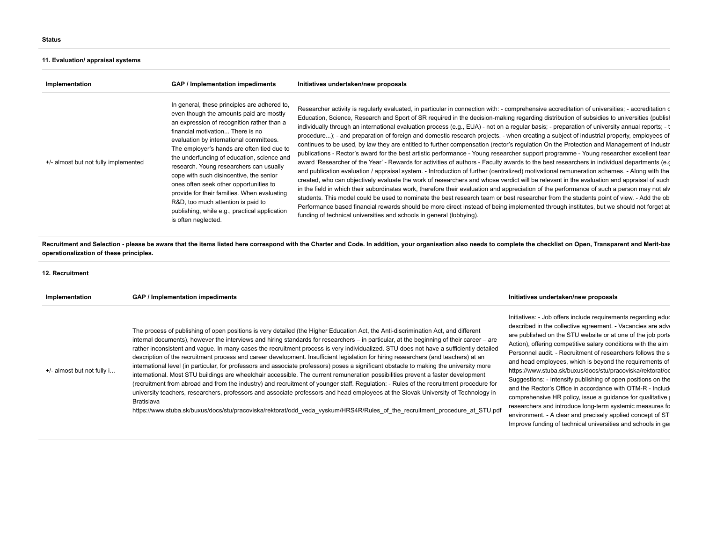## **11. Evaluation/ appraisal systems**

| Implementation                       | GAP / Implementation impediments                                                                                                                                                                                                                                                                                                                                                                                                                                                                                                                                                                              | Initiatives undertaken/new proposals                                                                                                                                                                                                                                                                                                                                                                                                                                                                                                                                                                                                                                                                                                                                                                                                                                                                                                                                                                                                                                                                                                                                                                                                                                                                                                                                                                                                                                                                                                                                                                                                                                                                                                                                                                                             |
|--------------------------------------|---------------------------------------------------------------------------------------------------------------------------------------------------------------------------------------------------------------------------------------------------------------------------------------------------------------------------------------------------------------------------------------------------------------------------------------------------------------------------------------------------------------------------------------------------------------------------------------------------------------|----------------------------------------------------------------------------------------------------------------------------------------------------------------------------------------------------------------------------------------------------------------------------------------------------------------------------------------------------------------------------------------------------------------------------------------------------------------------------------------------------------------------------------------------------------------------------------------------------------------------------------------------------------------------------------------------------------------------------------------------------------------------------------------------------------------------------------------------------------------------------------------------------------------------------------------------------------------------------------------------------------------------------------------------------------------------------------------------------------------------------------------------------------------------------------------------------------------------------------------------------------------------------------------------------------------------------------------------------------------------------------------------------------------------------------------------------------------------------------------------------------------------------------------------------------------------------------------------------------------------------------------------------------------------------------------------------------------------------------------------------------------------------------------------------------------------------------|
| +/- almost but not fully implemented | In general, these principles are adhered to,<br>even though the amounts paid are mostly<br>an expression of recognition rather than a<br>financial motivation There is no<br>evaluation by international committees.<br>The employer's hands are often tied due to<br>the underfunding of education, science and<br>research. Young researchers can usually<br>cope with such disincentive, the senior<br>ones often seek other opportunities to<br>provide for their families. When evaluating<br>R&D, too much attention is paid to<br>publishing, while e.g., practical application<br>is often neglected. | Researcher activity is regularly evaluated, in particular in connection with: - comprehensive accreditation of universities; - accreditation o<br>Education, Science, Research and Sport of SR required in the decision-making regarding distribution of subsidies to universities (publish<br>individually through an international evaluation process (e.g., EUA) - not on a regular basis; - preparation of university annual reports; - t<br>procedure); - and preparation of foreign and domestic research projects. - when creating a subject of industrial property, employees of<br>continues to be used, by law they are entitled to further compensation (rector's regulation On the Protection and Management of Industr<br>publications - Rector's award for the best artistic performance - Young researcher support programme - Young researcher excellent tean<br>award 'Researcher of the Year' - Rewards for activities of authors - Faculty awards to the best researchers in individual departments (e.c.<br>and publication evaluation / appraisal system. - Introduction of further (centralized) motivational remuneration schemes. - Along with the<br>created, who can objectively evaluate the work of researchers and whose verdict will be relevant in the evaluation and appraisal of such<br>in the field in which their subordinates work, therefore their evaluation and appreciation of the performance of such a person may not alw<br>students. This model could be used to nominate the best research team or best researcher from the students point of view. - Add the ob<br>Performance based financial rewards should be more direct instead of being implemented through institutes, but we should not forget at<br>funding of technical universities and schools in general (lobbying). |

**Recruitment and Selection - please be aware that the items listed here correspond with the Charter and Code. In addition, your organisation also needs to complete the checklist on Open, Transparent and Merit-bas operationalization of these principles.**

| 12. Recruitment            |                                                                                                                                                                                                                                                                                                                                                                                                                                                                                                                                                                                                                                                                                                                                                                                                                                                                                                                                                                                                                                                                                                                                                                                                                                                                                    |                                                                                                                                                                                                                                                                                                                                                                                                                                                                                                                                                                                                                                                                                                                                                                                                                                                |
|----------------------------|------------------------------------------------------------------------------------------------------------------------------------------------------------------------------------------------------------------------------------------------------------------------------------------------------------------------------------------------------------------------------------------------------------------------------------------------------------------------------------------------------------------------------------------------------------------------------------------------------------------------------------------------------------------------------------------------------------------------------------------------------------------------------------------------------------------------------------------------------------------------------------------------------------------------------------------------------------------------------------------------------------------------------------------------------------------------------------------------------------------------------------------------------------------------------------------------------------------------------------------------------------------------------------|------------------------------------------------------------------------------------------------------------------------------------------------------------------------------------------------------------------------------------------------------------------------------------------------------------------------------------------------------------------------------------------------------------------------------------------------------------------------------------------------------------------------------------------------------------------------------------------------------------------------------------------------------------------------------------------------------------------------------------------------------------------------------------------------------------------------------------------------|
| Implementation             | GAP / Implementation impediments                                                                                                                                                                                                                                                                                                                                                                                                                                                                                                                                                                                                                                                                                                                                                                                                                                                                                                                                                                                                                                                                                                                                                                                                                                                   | Initiatives undertaken/new proposals                                                                                                                                                                                                                                                                                                                                                                                                                                                                                                                                                                                                                                                                                                                                                                                                           |
| +/- almost but not fully i | The process of publishing of open positions is very detailed (the Higher Education Act, the Anti-discrimination Act, and different<br>internal documents), however the interviews and hiring standards for researchers – in particular, at the beginning of their career – are<br>rather inconsistent and vaque. In many cases the recruitment process is very individualized. STU does not have a sufficiently detailed<br>description of the recruitment process and career development. Insufficient legislation for hiring researchers (and teachers) at an<br>international level (in particular, for professors and associate professors) poses a significant obstacle to making the university more<br>international. Most STU buildings are wheelchair accessible. The current remuneration possibilities prevent a faster development<br>(recruitment from abroad and from the industry) and recruitment of younger staff. Regulation: - Rules of the recruitment procedure for<br>university teachers, researchers, professors and associate professors and head employees at the Slovak University of Technology in<br><b>Bratislava</b><br>https://www.stuba.sk/buxus/docs/stu/pracoviska/rektorat/odd veda vyskum/HRS4R/Rules of the recruitment procedure at STU.pdf | Initiatives: - Job offers include requirements regarding educ<br>described in the collective agreement. - Vacancies are adve<br>are published on the STU website or at one of the job porta<br>Action), offering competitive salary conditions with the aim<br>Personnel audit. - Recruitment of researchers follows the s<br>and head employees, which is beyond the requirements of<br>https://www.stuba.sk/buxus/docs/stu/pracoviska/rektorat/oc<br>Suggestions: - Intensify publishing of open positions on the<br>and the Rector's Office in accordance with OTM-R - Include<br>comprehensive HR policy, issue a guidance for qualitative por-<br>researchers and introduce long-term systemic measures fo<br>environment. - A clear and precisely applied concept of STI<br>Improve funding of technical universities and schools in ger |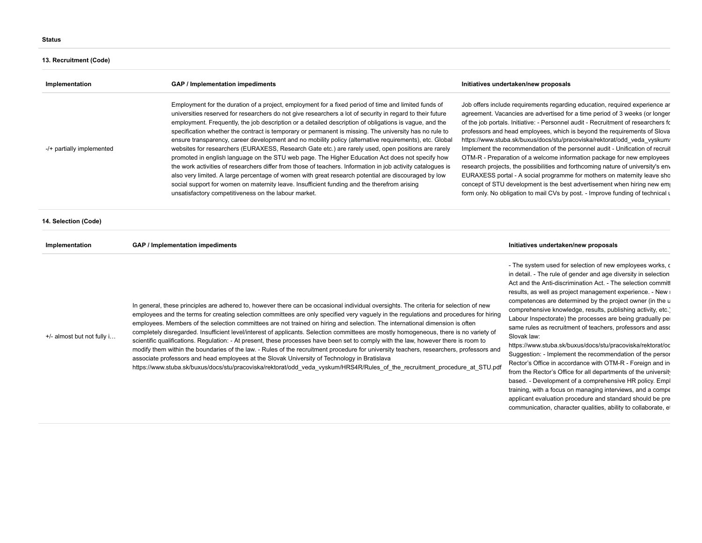# **13. Recruitment (Code)**

| Implementation             | GAP / Implementation impediments                                                                                                                                                                                                                                                                                                                                                                                                                                                                                                                                                                                                                                                                                                                                                                                                                                                                                                                                                                                                                                                                                                      | Initiatives undertaken/new proposals                                                                                                                                                                                                                                                                                                                                                                                                                                                                                                                                                                                                                                                                                                                                                                                                                                                                                |
|----------------------------|---------------------------------------------------------------------------------------------------------------------------------------------------------------------------------------------------------------------------------------------------------------------------------------------------------------------------------------------------------------------------------------------------------------------------------------------------------------------------------------------------------------------------------------------------------------------------------------------------------------------------------------------------------------------------------------------------------------------------------------------------------------------------------------------------------------------------------------------------------------------------------------------------------------------------------------------------------------------------------------------------------------------------------------------------------------------------------------------------------------------------------------|---------------------------------------------------------------------------------------------------------------------------------------------------------------------------------------------------------------------------------------------------------------------------------------------------------------------------------------------------------------------------------------------------------------------------------------------------------------------------------------------------------------------------------------------------------------------------------------------------------------------------------------------------------------------------------------------------------------------------------------------------------------------------------------------------------------------------------------------------------------------------------------------------------------------|
| -/+ partially implemented  | Employment for the duration of a project, employment for a fixed period of time and limited funds of<br>universities reserved for researchers do not give researchers a lot of security in regard to their future<br>employment. Frequently, the job description or a detailed description of obligations is vaque, and the<br>specification whether the contract is temporary or permanent is missing. The university has no rule to<br>ensure transparency, career development and no mobility policy (alternative requirements), etc. Global<br>websites for researchers (EURAXESS, Research Gate etc.) are rarely used, open positions are rarely<br>promoted in english language on the STU web page. The Higher Education Act does not specify how<br>the work activities of researchers differ from those of teachers. Information in job activity catalogues is<br>also very limited. A large percentage of women with great research potential are discouraged by low<br>social support for women on maternity leave. Insufficient funding and the therefrom arising<br>unsatisfactory competitiveness on the labour market. | Job offers include requirements regarding education, required experience ar<br>agreement. Vacancies are advertised for a time period of 3 weeks (or longer<br>of the job portals. Initiative: - Personnel audit - Recruitment of researchers for<br>professors and head employees, which is beyond the requirements of Slova<br>https://www.stuba.sk/buxus/docs/stu/pracoviska/rektorat/odd veda vyskum/<br>Implement the recommendation of the personnel audit - Unification of recruit<br>OTM-R - Preparation of a welcome information package for new employees<br>research projects, the possibilities and forthcoming nature of university's env<br>EURAXESS portal - A social programme for mothers on maternity leave sho<br>concept of STU development is the best advertisement when hiring new emp<br>form only. No obligation to mail CVs by post. - Improve funding of technical u                      |
| 14. Selection (Code)       |                                                                                                                                                                                                                                                                                                                                                                                                                                                                                                                                                                                                                                                                                                                                                                                                                                                                                                                                                                                                                                                                                                                                       |                                                                                                                                                                                                                                                                                                                                                                                                                                                                                                                                                                                                                                                                                                                                                                                                                                                                                                                     |
| Implementation             | GAP / Implementation impediments                                                                                                                                                                                                                                                                                                                                                                                                                                                                                                                                                                                                                                                                                                                                                                                                                                                                                                                                                                                                                                                                                                      | Initiatives undertaken/new proposals                                                                                                                                                                                                                                                                                                                                                                                                                                                                                                                                                                                                                                                                                                                                                                                                                                                                                |
| +/- almost but not fully i | In general, these principles are adhered to, however there can be occasional individual oversights. The criteria for selection of new<br>employees and the terms for creating selection committees are only specified very vaguely in the regulations and procedures for hiring<br>employees. Members of the selection committees are not trained on hiring and selection. The international dimension is often<br>completely disregarded. Insufficient level/interest of applicants. Selection committees are mostly homogeneous, there is no variety of<br>scientific qualifications. Regulation: - At present, these processes have been set to comply with the law, however there is room to<br>modify them within the boundaries of the law. - Rules of the recruitment procedure for university teachers, researchers, professors and<br>associate professors and head employees at the Slovak University of Technology in Bratislava<br>https://www.stuba.sk/buxus/docs/stu/pracoviska/rektorat/odd veda vyskum/HRS4R/Rules of the recruitment procedure at STU.pdf                                                            | - The system used for selection of new employees works, c<br>in detail. - The rule of gender and age diversity in selection<br>Act and the Anti-discrimination Act. - The selection committ<br>results, as well as project management experience. - New i<br>competences are determined by the project owner (in the u<br>comprehensive knowledge, results, publishing activity, etc.)<br>Labour Inspectorate) the processes are being gradually per<br>same rules as recruitment of teachers, professors and asso<br>Slovak law:<br>https://www.stuba.sk/buxus/docs/stu/pracoviska/rektorat/oc<br>Suggestion: - Implement the recommendation of the persor<br>Rector's Office in accordance with OTM-R - Foreign and in<br>from the Rector's Office for all departments of the university<br>based. - Development of a comprehensive HR policy. Empl<br>training, with a focus on managing interviews, and a compe |

applicant evaluation procedure and standard should be pre communication, character qualities, ability to collaborate, et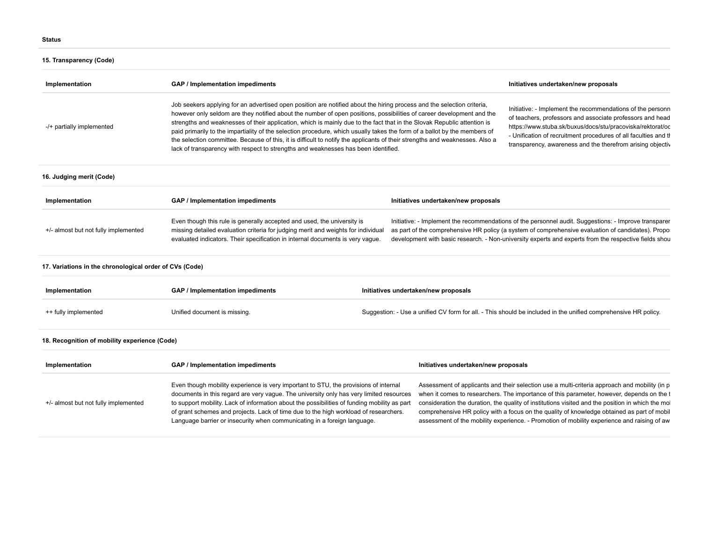# **15. Transparency (Code)**

| Implementation                                          | GAP / Implementation impediments                                                                                                                                                                                                                                                                                                                                                                                                                                                                                                                                                                                                                                                                                              |                                      | Initiatives undertaken/new proposals                                                                                                                                                                                                                                                                                                                                                                                                                                                         |
|---------------------------------------------------------|-------------------------------------------------------------------------------------------------------------------------------------------------------------------------------------------------------------------------------------------------------------------------------------------------------------------------------------------------------------------------------------------------------------------------------------------------------------------------------------------------------------------------------------------------------------------------------------------------------------------------------------------------------------------------------------------------------------------------------|--------------------------------------|----------------------------------------------------------------------------------------------------------------------------------------------------------------------------------------------------------------------------------------------------------------------------------------------------------------------------------------------------------------------------------------------------------------------------------------------------------------------------------------------|
| -/+ partially implemented                               | Job seekers applying for an advertised open position are notified about the hiring process and the selection criteria,<br>however only seldom are they notified about the number of open positions, possibilities of career development and the<br>strengths and weaknesses of their application, which is mainly due to the fact that in the Slovak Republic attention is<br>paid primarily to the impartiality of the selection procedure, which usually takes the form of a ballot by the members of<br>the selection committee. Because of this, it is difficult to notify the applicants of their strengths and weaknesses. Also a<br>lack of transparency with respect to strengths and weaknesses has been identified. |                                      | Initiative: - Implement the recommendations of the personn<br>of teachers, professors and associate professors and head<br>https://www.stuba.sk/buxus/docs/stu/pracoviska/rektorat/od<br>- Unification of recruitment procedures of all faculties and the<br>transparency, awareness and the therefrom arising objectiv                                                                                                                                                                      |
| 16. Judging merit (Code)                                |                                                                                                                                                                                                                                                                                                                                                                                                                                                                                                                                                                                                                                                                                                                               |                                      |                                                                                                                                                                                                                                                                                                                                                                                                                                                                                              |
| Implementation                                          | GAP / Implementation impediments                                                                                                                                                                                                                                                                                                                                                                                                                                                                                                                                                                                                                                                                                              | Initiatives undertaken/new proposals |                                                                                                                                                                                                                                                                                                                                                                                                                                                                                              |
| +/- almost but not fully implemented                    | Even though this rule is generally accepted and used, the university is<br>missing detailed evaluation criteria for judging merit and weights for individual<br>evaluated indicators. Their specification in internal documents is very vague.                                                                                                                                                                                                                                                                                                                                                                                                                                                                                |                                      | Initiative: - Implement the recommendations of the personnel audit. Suggestions: - Improve transparer<br>as part of the comprehensive HR policy (a system of comprehensive evaluation of candidates). Propo:<br>development with basic research. - Non-university experts and experts from the respective fields shou                                                                                                                                                                        |
| 17. Variations in the chronological order of CVs (Code) |                                                                                                                                                                                                                                                                                                                                                                                                                                                                                                                                                                                                                                                                                                                               |                                      |                                                                                                                                                                                                                                                                                                                                                                                                                                                                                              |
| Implementation                                          | <b>GAP / Implementation impediments</b>                                                                                                                                                                                                                                                                                                                                                                                                                                                                                                                                                                                                                                                                                       | Initiatives undertaken/new proposals |                                                                                                                                                                                                                                                                                                                                                                                                                                                                                              |
| ++ fully implemented                                    | Unified document is missing.                                                                                                                                                                                                                                                                                                                                                                                                                                                                                                                                                                                                                                                                                                  |                                      | Suggestion: - Use a unified CV form for all. - This should be included in the unified comprehensive HR policy.                                                                                                                                                                                                                                                                                                                                                                               |
| 18. Recognition of mobility experience (Code)           |                                                                                                                                                                                                                                                                                                                                                                                                                                                                                                                                                                                                                                                                                                                               |                                      |                                                                                                                                                                                                                                                                                                                                                                                                                                                                                              |
| Implementation                                          | <b>GAP / Implementation impediments</b>                                                                                                                                                                                                                                                                                                                                                                                                                                                                                                                                                                                                                                                                                       | Initiatives undertaken/new proposals |                                                                                                                                                                                                                                                                                                                                                                                                                                                                                              |
| +/- almost but not fully implemented                    | Even though mobility experience is very important to STU, the provisions of internal<br>documents in this regard are very vague. The university only has very limited resources<br>to support mobility. Lack of information about the possibilities of funding mobility as part<br>of grant schemes and projects. Lack of time due to the high workload of researchers.<br>Language barrier or insecurity when communicating in a foreign language.                                                                                                                                                                                                                                                                           |                                      | Assessment of applicants and their selection use a multi-criteria approach and mobility (in p<br>when it comes to researchers. The importance of this parameter, however, depends on the t<br>consideration the duration, the quality of institutions visited and the position in which the mol<br>comprehensive HR policy with a focus on the quality of knowledge obtained as part of mobil<br>assessment of the mobility experience. - Promotion of mobility experience and raising of aw |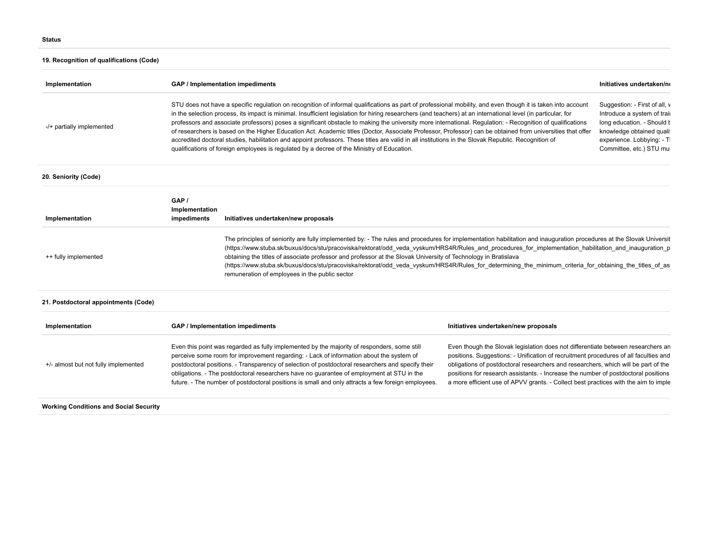# **19. Recognition of qualifications (Code)**

| Implementation                                |                                                                                                                                                                                                                                                                                                                                                                                                                                                                                                                                                                                                                                                                                                                                                                                                                                                                                                                | GAP / Implementation impediments     |                                                                                                                                                                                                                                                                                                                                                                                                                                             | Initiatives undertaken/no                                                                                                                                                        |
|-----------------------------------------------|----------------------------------------------------------------------------------------------------------------------------------------------------------------------------------------------------------------------------------------------------------------------------------------------------------------------------------------------------------------------------------------------------------------------------------------------------------------------------------------------------------------------------------------------------------------------------------------------------------------------------------------------------------------------------------------------------------------------------------------------------------------------------------------------------------------------------------------------------------------------------------------------------------------|--------------------------------------|---------------------------------------------------------------------------------------------------------------------------------------------------------------------------------------------------------------------------------------------------------------------------------------------------------------------------------------------------------------------------------------------------------------------------------------------|----------------------------------------------------------------------------------------------------------------------------------------------------------------------------------|
| -/+ partially implemented                     | STU does not have a specific regulation on recognition of informal qualifications as part of professional mobility, and even though it is taken into account<br>in the selection process, its impact is minimal. Insufficient legislation for hiring researchers (and teachers) at an international level (in particular, for<br>professors and associate professors) poses a significant obstacle to making the university more international. Regulation: - Recognition of qualifications<br>of researchers is based on the Higher Education Act. Academic titles (Doctor, Associate Professor, Professor) can be obtained from universities that offer<br>accredited doctoral studies, habilitation and appoint professors. These titles are valid in all institutions in the Slovak Republic. Recognition of<br>qualifications of foreign employees is regulated by a decree of the Ministry of Education. |                                      |                                                                                                                                                                                                                                                                                                                                                                                                                                             | Suggestion: - First of all, v<br>Introduce a system of trail<br>long education. - Should I<br>knowledge obtained quali<br>experience. Lobbying: - Tl<br>Committee, etc.) STU mu: |
| 20. Seniority (Code)                          |                                                                                                                                                                                                                                                                                                                                                                                                                                                                                                                                                                                                                                                                                                                                                                                                                                                                                                                |                                      |                                                                                                                                                                                                                                                                                                                                                                                                                                             |                                                                                                                                                                                  |
| Implementation                                | GAP /<br>Implementation<br>impediments                                                                                                                                                                                                                                                                                                                                                                                                                                                                                                                                                                                                                                                                                                                                                                                                                                                                         | Initiatives undertaken/new proposals |                                                                                                                                                                                                                                                                                                                                                                                                                                             |                                                                                                                                                                                  |
| ++ fully implemented                          | The principles of seniority are fully implemented by: - The rules and procedures for implementation habilitation and inauguration procedures at the Slovak Universit<br>(https://www.stuba.sk/buxus/docs/stu/pracoviska/rektorat/odd_veda_vyskum/HRS4R/Rules_and_procedures_for_implementation_habilitation_and_inauguration_p<br>obtaining the titles of associate professor and professor at the Slovak University of Technology in Bratislava<br>(https://www.stuba.sk/buxus/docs/stu/pracoviska/rektorat/odd veda vyskum/HRS4R/Rules for determining the minimum criteria for obtaining the titles of as<br>remuneration of employees in the public sector                                                                                                                                                                                                                                                 |                                      |                                                                                                                                                                                                                                                                                                                                                                                                                                             |                                                                                                                                                                                  |
| 21. Postdoctoral appointments (Code)          |                                                                                                                                                                                                                                                                                                                                                                                                                                                                                                                                                                                                                                                                                                                                                                                                                                                                                                                |                                      |                                                                                                                                                                                                                                                                                                                                                                                                                                             |                                                                                                                                                                                  |
| Implementation                                | GAP / Implementation impediments<br>Initiatives undertaken/new proposals                                                                                                                                                                                                                                                                                                                                                                                                                                                                                                                                                                                                                                                                                                                                                                                                                                       |                                      |                                                                                                                                                                                                                                                                                                                                                                                                                                             |                                                                                                                                                                                  |
| +/- almost but not fully implemented          | Even this point was regarded as fully implemented by the majority of responders, some still<br>perceive some room for improvement regarding: - Lack of information about the system of<br>postdoctoral positions. - Transparency of selection of postdoctoral researchers and specify their<br>obligations. - The postdoctoral researchers have no guarantee of employment at STU in the<br>future. - The number of postdoctoral positions is small and only attracts a few foreign employees.                                                                                                                                                                                                                                                                                                                                                                                                                 |                                      | Even though the Slovak legislation does not differentiate between researchers an<br>positions. Suggestions: - Unification of recruitment procedures of all faculties and<br>obligations of postdoctoral researchers and researchers, which will be part of the<br>positions for research assistants. - Increase the number of postdoctoral positions<br>a more efficient use of APVV grants. - Collect best practices with the aim to imple |                                                                                                                                                                                  |
| <b>Working Conditions and Social Security</b> |                                                                                                                                                                                                                                                                                                                                                                                                                                                                                                                                                                                                                                                                                                                                                                                                                                                                                                                |                                      |                                                                                                                                                                                                                                                                                                                                                                                                                                             |                                                                                                                                                                                  |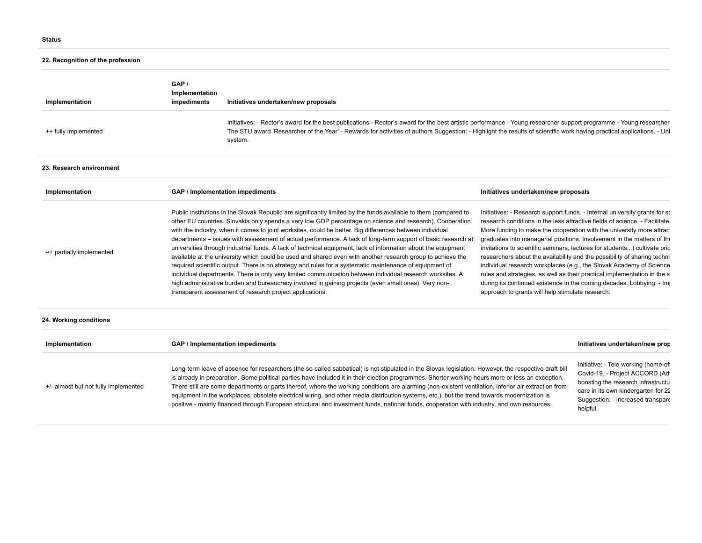# **22. Recognition of the profession**

| Implementation                       | GAP /<br>Implementation<br>impediments | Initiatives undertaken/new proposals                                                                                                                                                                                                                                                                                                                                                                                                                                                                                                                                                                                                                                                                                                                                                                                                                                                                                                                                                                                                                                                                                                                                                                                                                                                                                                                                                                                                                                                                                                                                                                                                                                                                                                                                                                                                        |                                      |                                                                                                                                                                                                       |
|--------------------------------------|----------------------------------------|---------------------------------------------------------------------------------------------------------------------------------------------------------------------------------------------------------------------------------------------------------------------------------------------------------------------------------------------------------------------------------------------------------------------------------------------------------------------------------------------------------------------------------------------------------------------------------------------------------------------------------------------------------------------------------------------------------------------------------------------------------------------------------------------------------------------------------------------------------------------------------------------------------------------------------------------------------------------------------------------------------------------------------------------------------------------------------------------------------------------------------------------------------------------------------------------------------------------------------------------------------------------------------------------------------------------------------------------------------------------------------------------------------------------------------------------------------------------------------------------------------------------------------------------------------------------------------------------------------------------------------------------------------------------------------------------------------------------------------------------------------------------------------------------------------------------------------------------|--------------------------------------|-------------------------------------------------------------------------------------------------------------------------------------------------------------------------------------------------------|
| ++ fully implemented                 |                                        | Initiatives: - Rector's award for the best publications - Rector's award for the best artistic performance - Young researcher support programme - Young researcher<br>The STU award 'Researcher of the Year' - Rewards for activities of authors Suggestion: - Highlight the results of scientific work having practical applications. - Uni<br>system.                                                                                                                                                                                                                                                                                                                                                                                                                                                                                                                                                                                                                                                                                                                                                                                                                                                                                                                                                                                                                                                                                                                                                                                                                                                                                                                                                                                                                                                                                     |                                      |                                                                                                                                                                                                       |
| 23. Research environment             |                                        |                                                                                                                                                                                                                                                                                                                                                                                                                                                                                                                                                                                                                                                                                                                                                                                                                                                                                                                                                                                                                                                                                                                                                                                                                                                                                                                                                                                                                                                                                                                                                                                                                                                                                                                                                                                                                                             |                                      |                                                                                                                                                                                                       |
| Implementation                       |                                        | GAP / Implementation impediments                                                                                                                                                                                                                                                                                                                                                                                                                                                                                                                                                                                                                                                                                                                                                                                                                                                                                                                                                                                                                                                                                                                                                                                                                                                                                                                                                                                                                                                                                                                                                                                                                                                                                                                                                                                                            | Initiatives undertaken/new proposals |                                                                                                                                                                                                       |
| -/+ partially implemented            |                                        | Public institutions in the Slovak Republic are significantly limited by the funds available to them (compared to<br>Initiatives: - Research support funds. - Internal university grants for so<br>other EU countries, Slovakia only spends a very low GDP percentage on science and research). Cooperation<br>research conditions in the less attractive fields of science. - Facilitate<br>with the industry, when it comes to joint worksites, could be better. Big differences between individual<br>More funding to make the cooperation with the university more attract<br>departments - issues with assessment of actual performance. A lack of long-term support of basic research at<br>graduates into managerial positions. Involvement in the matters of the<br>invitations to scientific seminars, lectures for students) cultivate prid<br>universities through industrial funds. A lack of technical equipment, lack of information about the equipment<br>available at the university which could be used and shared even with another research group to achieve the<br>researchers about the availability and the possibility of sharing techni<br>required scientific output. There is no strategy and rules for a systematic maintenance of equipment of<br>individual research workplaces (e.g., the Slovak Academy of Science<br>individual departments. There is only very limited communication between individual research worksites. A<br>rules and strategies, as well as their practical implementation in the s<br>high administrative burden and bureaucracy involved in gaining projects (even small ones). Very non-<br>during its continued existence in the coming decades. Lobbying: - Imp<br>transparent assessment of research project applications.<br>approach to grants will help stimulate research. |                                      |                                                                                                                                                                                                       |
| 24. Working conditions               |                                        |                                                                                                                                                                                                                                                                                                                                                                                                                                                                                                                                                                                                                                                                                                                                                                                                                                                                                                                                                                                                                                                                                                                                                                                                                                                                                                                                                                                                                                                                                                                                                                                                                                                                                                                                                                                                                                             |                                      |                                                                                                                                                                                                       |
| Implementation                       |                                        | GAP / Implementation impediments                                                                                                                                                                                                                                                                                                                                                                                                                                                                                                                                                                                                                                                                                                                                                                                                                                                                                                                                                                                                                                                                                                                                                                                                                                                                                                                                                                                                                                                                                                                                                                                                                                                                                                                                                                                                            |                                      | Initiatives undertaken/new prop                                                                                                                                                                       |
| +/- almost but not fully implemented |                                        | Long-term leave of absence for researchers (the so-called sabbatical) is not stipulated in the Slovak legislation. However, the respective draft bill<br>is already in preparation. Some political parties have included it in their election programmes. Shorter working hours more or less an exception.<br>There still are some departments or parts thereof, where the working conditions are alarming (non-existent ventilation, inferior air extraction from<br>equipment in the workplaces, obsolete electrical wiring, and other media distribution systems, etc.), but the trend towards modernization is<br>positive - mainly financed through European structural and investment funds, national funds, cooperation with industry, and own resources.                                                                                                                                                                                                                                                                                                                                                                                                                                                                                                                                                                                                                                                                                                                                                                                                                                                                                                                                                                                                                                                                            |                                      | Initiative: - Tele-working (home-ofl<br>Covid-19. - Project ACCORD (Adv<br>boosting the research infrastructu<br>care in its own kindergarten for 22<br>Suggestion: - Increased transpare<br>helpful. |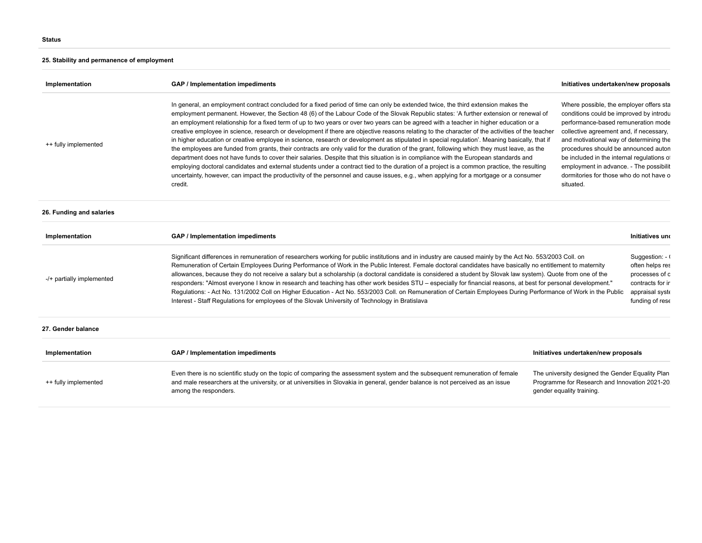# **25. Stability and permanence of employment**

| Implementation            | GAP / Implementation impediments                                                                                                                                                                                                                                                                                                                                                                                                                                                                                                                                                                                                                                                                                                                                                                                                                                                                                                                                                                                                                                                                                                                                                                                                                                                                                                                                                                                                                                                                                                                                                                                                                                                                                    | Initiatives undertaken/new proposals                                                                                            |  |
|---------------------------|---------------------------------------------------------------------------------------------------------------------------------------------------------------------------------------------------------------------------------------------------------------------------------------------------------------------------------------------------------------------------------------------------------------------------------------------------------------------------------------------------------------------------------------------------------------------------------------------------------------------------------------------------------------------------------------------------------------------------------------------------------------------------------------------------------------------------------------------------------------------------------------------------------------------------------------------------------------------------------------------------------------------------------------------------------------------------------------------------------------------------------------------------------------------------------------------------------------------------------------------------------------------------------------------------------------------------------------------------------------------------------------------------------------------------------------------------------------------------------------------------------------------------------------------------------------------------------------------------------------------------------------------------------------------------------------------------------------------|---------------------------------------------------------------------------------------------------------------------------------|--|
| ++ fully implemented      | In general, an employment contract concluded for a fixed period of time can only be extended twice, the third extension makes the<br>Where possible, the employer offers sta<br>employment permanent. However, the Section 48 (6) of the Labour Code of the Slovak Republic states: 'A further extension or renewal of<br>conditions could be improved by introdu<br>an employment relationship for a fixed term of up to two years or over two years can be agreed with a teacher in higher education or a<br>performance-based remuneration mode<br>creative employee in science, research or development if there are objective reasons relating to the character of the activities of the teacher<br>collective agreement and, if necessary,<br>in higher education or creative employee in science, research or development as stipulated in special regulation'. Meaning basically, that if<br>and motivational way of determining the<br>the employees are funded from grants, their contracts are only valid for the duration of the grant, following which they must leave, as the<br>procedures should be announced auton<br>department does not have funds to cover their salaries. Despite that this situation is in compliance with the European standards and<br>be included in the internal regulations of<br>employing doctoral candidates and external students under a contract tied to the duration of a project is a common practice, the resulting<br>employment in advance. - The possibilit<br>uncertainty, however, can impact the productivity of the personnel and cause issues, e.g., when applying for a mortgage or a consumer<br>dormitories for those who do not have o<br>situated. |                                                                                                                                 |  |
| 26. Funding and salaries  |                                                                                                                                                                                                                                                                                                                                                                                                                                                                                                                                                                                                                                                                                                                                                                                                                                                                                                                                                                                                                                                                                                                                                                                                                                                                                                                                                                                                                                                                                                                                                                                                                                                                                                                     |                                                                                                                                 |  |
| Implementation            | GAP / Implementation impediments                                                                                                                                                                                                                                                                                                                                                                                                                                                                                                                                                                                                                                                                                                                                                                                                                                                                                                                                                                                                                                                                                                                                                                                                                                                                                                                                                                                                                                                                                                                                                                                                                                                                                    | Initiatives und                                                                                                                 |  |
| -/+ partially implemented | Significant differences in remuneration of researchers working for public institutions and in industry are caused mainly by the Act No. 553/2003 Coll. on<br>Suggestion: - (<br>often helps res<br>Remuneration of Certain Employees During Performance of Work in the Public Interest. Female doctoral candidates have basically no entitlement to maternity<br>allowances, because they do not receive a salary but a scholarship (a doctoral candidate is considered a student by Slovak law system). Quote from one of the<br>processes of c<br>responders: "Almost everyone I know in research and teaching has other work besides STU - especially for financial reasons, at best for personal development."<br>contracts for ir<br>Regulations: - Act No. 131/2002 Coll on Higher Education - Act No. 553/2003 Coll. on Remuneration of Certain Employees During Performance of Work in the Public<br>appraisal syste<br>Interest - Staff Regulations for employees of the Slovak University of Technology in Bratislava<br>funding of rese                                                                                                                                                                                                                                                                                                                                                                                                                                                                                                                                                                                                                                                                  |                                                                                                                                 |  |
| 27. Gender balance        |                                                                                                                                                                                                                                                                                                                                                                                                                                                                                                                                                                                                                                                                                                                                                                                                                                                                                                                                                                                                                                                                                                                                                                                                                                                                                                                                                                                                                                                                                                                                                                                                                                                                                                                     |                                                                                                                                 |  |
| Implementation            | GAP / Implementation impediments                                                                                                                                                                                                                                                                                                                                                                                                                                                                                                                                                                                                                                                                                                                                                                                                                                                                                                                                                                                                                                                                                                                                                                                                                                                                                                                                                                                                                                                                                                                                                                                                                                                                                    | Initiatives undertaken/new proposals                                                                                            |  |
| ++ fully implemented      | Even there is no scientific study on the topic of comparing the assessment system and the subsequent remuneration of female<br>and male researchers at the university, or at universities in Slovakia in general, gender balance is not perceived as an issue<br>among the responders.                                                                                                                                                                                                                                                                                                                                                                                                                                                                                                                                                                                                                                                                                                                                                                                                                                                                                                                                                                                                                                                                                                                                                                                                                                                                                                                                                                                                                              | The university designed the Gender Equality Plan<br>Programme for Research and Innovation 2021-20.<br>gender equality training. |  |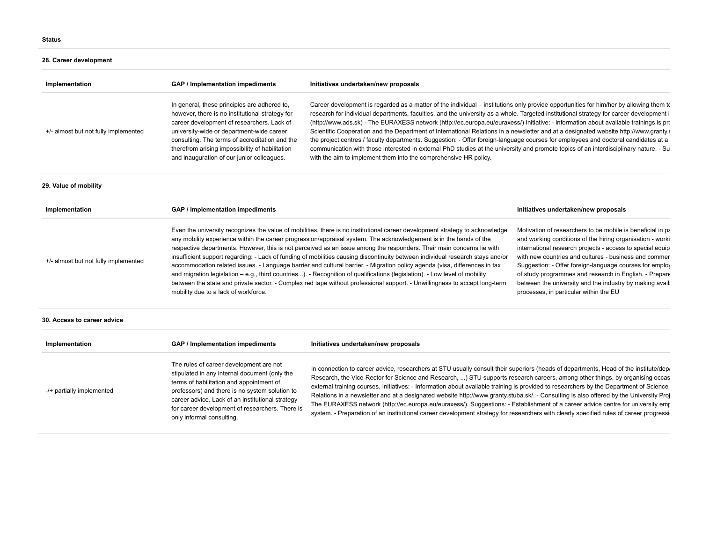## **28. Career development**

| Implementation                       | GAP / Implementation impediments                                                                                                                                                                                                                                                                                                              | Initiatives undertaken/new proposals                                                                                                                                                                                                                                                                                                                                                                                                                                                                                                                                                                                                                                                                                                                                                                                                                                                                                   |
|--------------------------------------|-----------------------------------------------------------------------------------------------------------------------------------------------------------------------------------------------------------------------------------------------------------------------------------------------------------------------------------------------|------------------------------------------------------------------------------------------------------------------------------------------------------------------------------------------------------------------------------------------------------------------------------------------------------------------------------------------------------------------------------------------------------------------------------------------------------------------------------------------------------------------------------------------------------------------------------------------------------------------------------------------------------------------------------------------------------------------------------------------------------------------------------------------------------------------------------------------------------------------------------------------------------------------------|
| +/- almost but not fully implemented | In general, these principles are adhered to,<br>however, there is no institutional strategy for<br>career development of researchers. Lack of<br>university-wide or department-wide career<br>consulting. The terms of accreditation and the<br>therefrom arising impossibility of habilitation<br>and inauguration of our junior colleagues. | Career development is regarded as a matter of the individual – institutions only provide opportunities for him/her by allowing them to<br>research for individual departments, faculties, and the university as a whole. Targeted institutional strategy for career development in<br>(http://www.ads.sk) - The EURAXESS network (http://ec.europa.eu/euraxess/) Initiative: - information about available trainings is pro<br>Scientific Cooperation and the Department of International Relations in a newsletter and at a designated website http://www.granty.s<br>the project centres / faculty departments. Suggestion: - Offer foreign-language courses for employees and doctoral candidates at a<br>communication with those interested in external PhD studies at the university and promote topics of an interdisciplinary nature. - Su<br>with the aim to implement them into the comprehensive HR policy. |
|                                      |                                                                                                                                                                                                                                                                                                                                               |                                                                                                                                                                                                                                                                                                                                                                                                                                                                                                                                                                                                                                                                                                                                                                                                                                                                                                                        |

### **29. Value of mobility**

| Implementation                       | GAP / Implementation impediments                                                                                                                                                                                                                                                                                                                                                                                                                                                                                                                                                                                                                                                                                                                                                                                                                                                                                                                | Initiatives undertaken/new proposals                                                                                                                                                                                                                                                                                                                                                                                                                                         |
|--------------------------------------|-------------------------------------------------------------------------------------------------------------------------------------------------------------------------------------------------------------------------------------------------------------------------------------------------------------------------------------------------------------------------------------------------------------------------------------------------------------------------------------------------------------------------------------------------------------------------------------------------------------------------------------------------------------------------------------------------------------------------------------------------------------------------------------------------------------------------------------------------------------------------------------------------------------------------------------------------|------------------------------------------------------------------------------------------------------------------------------------------------------------------------------------------------------------------------------------------------------------------------------------------------------------------------------------------------------------------------------------------------------------------------------------------------------------------------------|
| +/- almost but not fully implemented | Even the university recognizes the value of mobilities, there is no institutional career development strategy to acknowledge<br>any mobility experience within the career progression/appraisal system. The acknowledgement is in the hands of the<br>respective departments. However, this is not perceived as an issue among the responders. Their main concerns lie with<br>insufficient support regarding: - Lack of funding of mobilities causing discontinuity between individual research stays and/or<br>accommodation related issues. - Language barrier and cultural barrier. - Migration policy agenda (visa, differences in tax<br>and migration legislation – e.g., third countries). - Recognition of qualifications (legislation). - Low level of mobility<br>between the state and private sector. - Complex red tape without professional support. - Unwillingness to accept long-term<br>mobility due to a lack of workforce. | Motivation of researchers to be mobile is beneficial in pa<br>and working conditions of the hiring organisation - worki<br>international research projects - access to special equip<br>with new countries and cultures - business and commer<br>Suggestion: - Offer foreign-language courses for employ<br>of study programmes and research in English. - Prepare<br>between the university and the industry by making availation<br>processes, in particular within the EU |

### **30. Access to career advice**

| Implementation            | GAP / Implementation impediments                                                                                                                                                                                                                                                                                           | Initiatives undertaken/new proposals                                                                                                                                                                                                                                                                                                                                                                                                                                                                                                                                                                                                                                                                                                                                                                                                     |
|---------------------------|----------------------------------------------------------------------------------------------------------------------------------------------------------------------------------------------------------------------------------------------------------------------------------------------------------------------------|------------------------------------------------------------------------------------------------------------------------------------------------------------------------------------------------------------------------------------------------------------------------------------------------------------------------------------------------------------------------------------------------------------------------------------------------------------------------------------------------------------------------------------------------------------------------------------------------------------------------------------------------------------------------------------------------------------------------------------------------------------------------------------------------------------------------------------------|
| -/+ partially implemented | The rules of career development are not<br>stipulated in any internal document (only the<br>terms of habilitation and appointment of<br>professors) and there is no system solution to<br>career advice. Lack of an institutional strategy<br>for career development of researchers. There is<br>only informal consulting. | In connection to career advice, researchers at STU usually consult their superiors (heads of departments, Head of the institute/depart<br>Research, the Vice-Rector for Science and Research, ) STU supports research careers, among other things, by organising occas<br>external training courses. Initiatives: - Information about available training is provided to researchers by the Department of Science<br>Relations in a newsletter and at a designated website http://www.granty.stuba.sk/. - Consulting is also offered by the University Proj<br>The EURAXESS network (http://ec.europa.eu/euraxess/). Suggestions: - Establishment of a career advice centre for university emp<br>system. - Preparation of an institutional career development strategy for researchers with clearly specified rules of career progressio |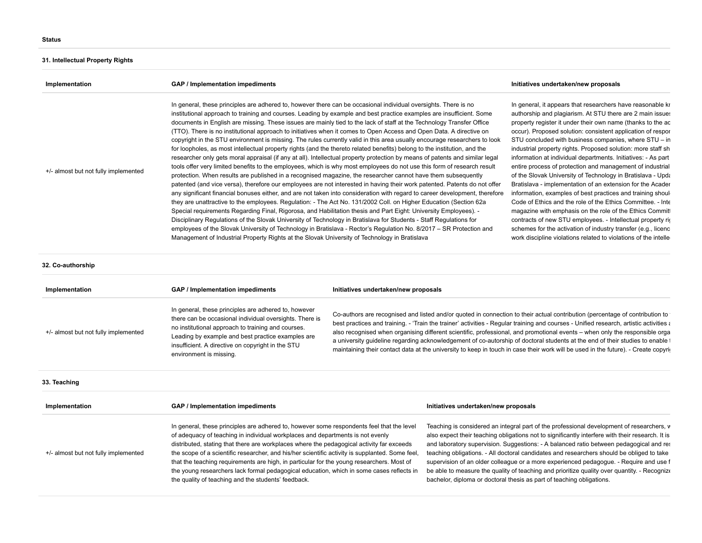# **31. Intellectual Property Rights**

| Implementation                       | GAP / Implementation impediments                                                                                                                                                                                                                                                                                                                                                                                                                                                                                                                                                                                                                                                                                                                                                                                                                                                                                                                                                                                                                                                                                                                                                                                                                                                                                                                                                                                                                                                                                                                                                                                                                                                                                                                                                                                                                                                                                                                                                 | Initiatives undertaken/new proposals                                                                                                                                                                                                                                                                                                                                                                                                                                                                                                                                                                                                                                                                                                                                                                                                                                                                                                                                                                                                  |
|--------------------------------------|----------------------------------------------------------------------------------------------------------------------------------------------------------------------------------------------------------------------------------------------------------------------------------------------------------------------------------------------------------------------------------------------------------------------------------------------------------------------------------------------------------------------------------------------------------------------------------------------------------------------------------------------------------------------------------------------------------------------------------------------------------------------------------------------------------------------------------------------------------------------------------------------------------------------------------------------------------------------------------------------------------------------------------------------------------------------------------------------------------------------------------------------------------------------------------------------------------------------------------------------------------------------------------------------------------------------------------------------------------------------------------------------------------------------------------------------------------------------------------------------------------------------------------------------------------------------------------------------------------------------------------------------------------------------------------------------------------------------------------------------------------------------------------------------------------------------------------------------------------------------------------------------------------------------------------------------------------------------------------|---------------------------------------------------------------------------------------------------------------------------------------------------------------------------------------------------------------------------------------------------------------------------------------------------------------------------------------------------------------------------------------------------------------------------------------------------------------------------------------------------------------------------------------------------------------------------------------------------------------------------------------------------------------------------------------------------------------------------------------------------------------------------------------------------------------------------------------------------------------------------------------------------------------------------------------------------------------------------------------------------------------------------------------|
| +/- almost but not fully implemented | In general, these principles are adhered to, however there can be occasional individual oversights. There is no<br>institutional approach to training and courses. Leading by example and best practice examples are insufficient. Some<br>documents in English are missing. These issues are mainly tied to the lack of staff at the Technology Transfer Office<br>(TTO). There is no institutional approach to initiatives when it comes to Open Access and Open Data. A directive on<br>copyright in the STU environment is missing. The rules currently valid in this area usually encourage researchers to look<br>for loopholes, as most intellectual property rights (and the thereto related benefits) belong to the institution, and the<br>researcher only gets moral appraisal (if any at all). Intellectual property protection by means of patents and similar legal<br>tools offer very limited benefits to the employees, which is why most employees do not use this form of research result<br>protection. When results are published in a recognised magazine, the researcher cannot have them subsequently<br>patented (and vice versa), therefore our employees are not interested in having their work patented. Patents do not offer<br>any significant financial bonuses either, and are not taken into consideration with regard to career development, therefore<br>they are unattractive to the employees. Regulation: - The Act No. 131/2002 Coll. on Higher Education (Section 62a<br>Special requirements Regarding Final, Rigorosa, and Habilitation thesis and Part Eight: University Employees). -<br>Disciplinary Regulations of the Slovak University of Technology in Bratislava for Students - Staff Regulations for<br>employees of the Slovak University of Technology in Bratislava - Rector's Regulation No. 8/2017 – SR Protection and<br>Management of Industrial Property Rights at the Slovak University of Technology in Bratislava | In general, it appears that researchers have reasonable kr<br>authorship and plagiarism. At STU there are 2 main issues<br>property register it under their own name (thanks to the ac<br>occur). Proposed solution: consistent application of respor<br>STU concluded with business companies, where STU – in<br>industrial property rights. Proposed solution: more staff sh<br>information at individual departments. Initiatives: - As part<br>entire process of protection and management of industrial<br>of the Slovak University of Technology in Bratislava - Upda<br>Bratislava - implementation of an extension for the Acader<br>information, examples of best practices and training shoule<br>Code of Ethics and the role of the Ethics Committee. - Inte<br>magazine with emphasis on the role of the Ethics Commit<br>contracts of new STU employees. - Intellectual property rig<br>schemes for the activation of industry transfer (e.g., licenc<br>work discipline violations related to violations of the intelle |

### **32. Co-authorship**

| Implementation                       | GAP / Implementation impediments                                                                                                                                                                                                                                                                                                                                                                                                                                                                                                                                                                                            | Initiatives undertaken/new proposals                                                                                                                                                                                                                                                                                                                                                                                                                                                                                                                                                                                                                                         |                                                                                                                                                                                                                                                                                                                                                                                                                                                                                                                                                                                                                                                          |
|--------------------------------------|-----------------------------------------------------------------------------------------------------------------------------------------------------------------------------------------------------------------------------------------------------------------------------------------------------------------------------------------------------------------------------------------------------------------------------------------------------------------------------------------------------------------------------------------------------------------------------------------------------------------------------|------------------------------------------------------------------------------------------------------------------------------------------------------------------------------------------------------------------------------------------------------------------------------------------------------------------------------------------------------------------------------------------------------------------------------------------------------------------------------------------------------------------------------------------------------------------------------------------------------------------------------------------------------------------------------|----------------------------------------------------------------------------------------------------------------------------------------------------------------------------------------------------------------------------------------------------------------------------------------------------------------------------------------------------------------------------------------------------------------------------------------------------------------------------------------------------------------------------------------------------------------------------------------------------------------------------------------------------------|
| +/- almost but not fully implemented | In general, these principles are adhered to, however<br>there can be occasional individual oversights. There is<br>no institutional approach to training and courses.<br>Leading by example and best practice examples are<br>insufficient. A directive on copyright in the STU<br>environment is missing.                                                                                                                                                                                                                                                                                                                  | Co-authors are recognised and listed and/or quoted in connection to their actual contribution (percentage of contribution to<br>best practices and training. - 'Train the trainer' activities - Regular training and courses - Unified research, artistic activities a<br>also recognised when organising different scientific, professional, and promotional events – when only the responsible orga<br>a university guideline regarding acknowledgement of co-autorship of doctoral students at the end of their studies to enable t<br>maintaining their contact data at the university to keep in touch in case their work will be used in the future). - Create copyric |                                                                                                                                                                                                                                                                                                                                                                                                                                                                                                                                                                                                                                                          |
| 33. Teaching                         |                                                                                                                                                                                                                                                                                                                                                                                                                                                                                                                                                                                                                             |                                                                                                                                                                                                                                                                                                                                                                                                                                                                                                                                                                                                                                                                              |                                                                                                                                                                                                                                                                                                                                                                                                                                                                                                                                                                                                                                                          |
| Implementation                       | GAP / Implementation impediments                                                                                                                                                                                                                                                                                                                                                                                                                                                                                                                                                                                            |                                                                                                                                                                                                                                                                                                                                                                                                                                                                                                                                                                                                                                                                              | Initiatives undertaken/new proposals                                                                                                                                                                                                                                                                                                                                                                                                                                                                                                                                                                                                                     |
| +/- almost but not fully implemented | In general, these principles are adhered to, however some respondents feel that the level<br>of adequacy of teaching in individual workplaces and departments is not evenly<br>distributed, stating that there are workplaces where the pedagogical activity far exceeds<br>the scope of a scientific researcher, and his/her scientific activity is supplanted. Some feel,<br>that the teaching requirements are high, in particular for the young researchers. Most of<br>the young researchers lack formal pedagogical education, which in some cases reflects in<br>the quality of teaching and the students' feedback. |                                                                                                                                                                                                                                                                                                                                                                                                                                                                                                                                                                                                                                                                              | Teaching is considered an integral part of the professional development of researchers, v<br>also expect their teaching obligations not to significantly interfere with their research. It is<br>and laboratory supervision. Suggestions: - A balanced ratio between pedagogical and res<br>teaching obligations. - All doctoral candidates and researchers should be obliged to take<br>supervision of an older colleague or a more experienced pedagogue. - Require and use f<br>be able to measure the quality of teaching and prioritize quality over quantity. - Recognize<br>bachelor, diploma or doctoral thesis as part of teaching obligations. |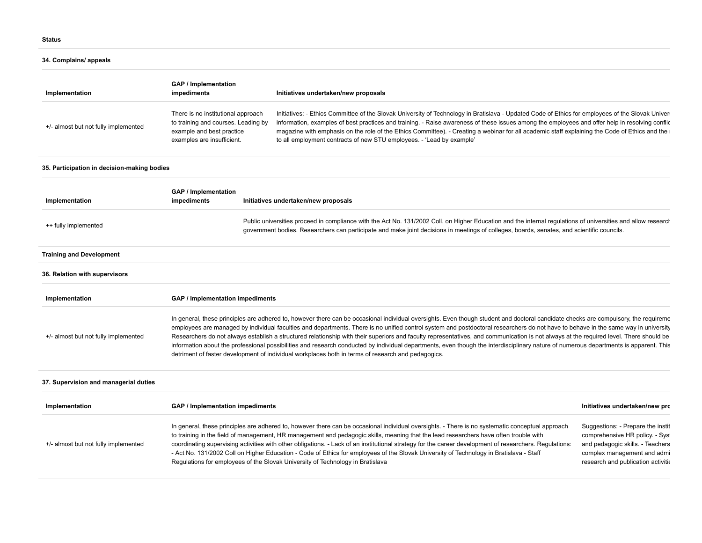# **34. Complains/ appeals**

| Implementation                              | <b>GAP</b> / Implementation<br>impediments                                                                                                                                                                                                                                                                                                                                                                                                                                                                                                                                                                                                                                                                                                                                                                                                                         |  | Initiatives undertaken/new proposals                                                                                                                                                                                                                                                                                                                                                                                                                                                                                                                                                                                                                                              |                                                                                                                                                                               |
|---------------------------------------------|--------------------------------------------------------------------------------------------------------------------------------------------------------------------------------------------------------------------------------------------------------------------------------------------------------------------------------------------------------------------------------------------------------------------------------------------------------------------------------------------------------------------------------------------------------------------------------------------------------------------------------------------------------------------------------------------------------------------------------------------------------------------------------------------------------------------------------------------------------------------|--|-----------------------------------------------------------------------------------------------------------------------------------------------------------------------------------------------------------------------------------------------------------------------------------------------------------------------------------------------------------------------------------------------------------------------------------------------------------------------------------------------------------------------------------------------------------------------------------------------------------------------------------------------------------------------------------|-------------------------------------------------------------------------------------------------------------------------------------------------------------------------------|
| +/- almost but not fully implemented        | There is no institutional approach<br>to training and courses. Leading by<br>example and best practice<br>examples are insufficient.                                                                                                                                                                                                                                                                                                                                                                                                                                                                                                                                                                                                                                                                                                                               |  | Initiatives: - Ethics Committee of the Slovak University of Technology in Bratislava - Updated Code of Ethics for employees of the Slovak Univer:<br>information, examples of best practices and training. - Raise awareness of these issues among the employees and offer help in resolving conflic<br>magazine with emphasis on the role of the Ethics Committee). - Creating a webinar for all academic staff explaining the Code of Ethics and the i<br>to all employment contracts of new STU employees. - 'Lead by example'                                                                                                                                                 |                                                                                                                                                                               |
| 35. Participation in decision-making bodies |                                                                                                                                                                                                                                                                                                                                                                                                                                                                                                                                                                                                                                                                                                                                                                                                                                                                    |  |                                                                                                                                                                                                                                                                                                                                                                                                                                                                                                                                                                                                                                                                                   |                                                                                                                                                                               |
| Implementation                              | <b>GAP / Implementation</b><br>impediments                                                                                                                                                                                                                                                                                                                                                                                                                                                                                                                                                                                                                                                                                                                                                                                                                         |  | Initiatives undertaken/new proposals                                                                                                                                                                                                                                                                                                                                                                                                                                                                                                                                                                                                                                              |                                                                                                                                                                               |
| ++ fully implemented                        | Public universities proceed in compliance with the Act No. 131/2002 Coll. on Higher Education and the internal regulations of universities and allow research<br>government bodies. Researchers can participate and make joint decisions in meetings of colleges, boards, senates, and scientific councils.                                                                                                                                                                                                                                                                                                                                                                                                                                                                                                                                                        |  |                                                                                                                                                                                                                                                                                                                                                                                                                                                                                                                                                                                                                                                                                   |                                                                                                                                                                               |
| <b>Training and Development</b>             |                                                                                                                                                                                                                                                                                                                                                                                                                                                                                                                                                                                                                                                                                                                                                                                                                                                                    |  |                                                                                                                                                                                                                                                                                                                                                                                                                                                                                                                                                                                                                                                                                   |                                                                                                                                                                               |
| 36. Relation with supervisors               |                                                                                                                                                                                                                                                                                                                                                                                                                                                                                                                                                                                                                                                                                                                                                                                                                                                                    |  |                                                                                                                                                                                                                                                                                                                                                                                                                                                                                                                                                                                                                                                                                   |                                                                                                                                                                               |
| Implementation                              | GAP / Implementation impediments                                                                                                                                                                                                                                                                                                                                                                                                                                                                                                                                                                                                                                                                                                                                                                                                                                   |  |                                                                                                                                                                                                                                                                                                                                                                                                                                                                                                                                                                                                                                                                                   |                                                                                                                                                                               |
| +/- almost but not fully implemented        | In general, these principles are adhered to, however there can be occasional individual oversights. Even though student and doctoral candidate checks are compulsory, the requireme<br>employees are managed by individual faculties and departments. There is no unified control system and postdoctoral researchers do not have to behave in the same way in university<br>Researchers do not always establish a structured relationship with their superiors and faculty representatives, and communication is not always at the required level. There should be<br>information about the professional possibilities and research conducted by individual departments, even though the interdisciplinary nature of numerous departments is apparent. This<br>detriment of faster development of individual workplaces both in terms of research and pedagogics. |  |                                                                                                                                                                                                                                                                                                                                                                                                                                                                                                                                                                                                                                                                                   |                                                                                                                                                                               |
| 37. Supervision and managerial duties       |                                                                                                                                                                                                                                                                                                                                                                                                                                                                                                                                                                                                                                                                                                                                                                                                                                                                    |  |                                                                                                                                                                                                                                                                                                                                                                                                                                                                                                                                                                                                                                                                                   |                                                                                                                                                                               |
| Implementation                              | GAP / Implementation impediments                                                                                                                                                                                                                                                                                                                                                                                                                                                                                                                                                                                                                                                                                                                                                                                                                                   |  |                                                                                                                                                                                                                                                                                                                                                                                                                                                                                                                                                                                                                                                                                   | Initiatives undertaken/new pro                                                                                                                                                |
| +/- almost but not fully implemented        |                                                                                                                                                                                                                                                                                                                                                                                                                                                                                                                                                                                                                                                                                                                                                                                                                                                                    |  | In general, these principles are adhered to, however there can be occasional individual oversights. - There is no systematic conceptual approach<br>to training in the field of management, HR management and pedagogic skills, meaning that the lead researchers have often trouble with<br>coordinating supervising activities with other obligations. - Lack of an institutional strategy for the career development of researchers. Regulations:<br>- Act No. 131/2002 Coll on Higher Education - Code of Ethics for employees of the Slovak University of Technology in Bratislava - Staff<br>Regulations for employees of the Slovak University of Technology in Bratislava | Suggestions: - Prepare the instit<br>comprehensive HR policy. - Syst<br>and pedagogic skills. - Teachers<br>complex management and admi<br>research and publication activitie |